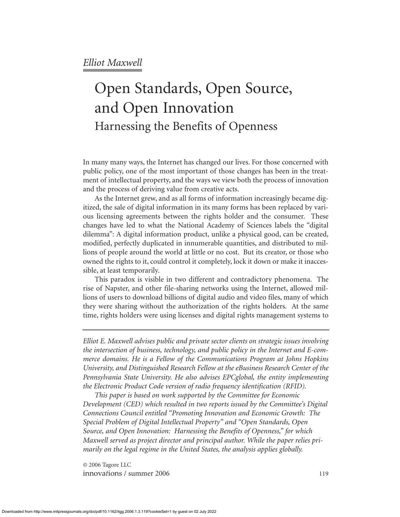# Open Standards, Open Source, and Open Innovation Harnessing the Benefits of Openness

In many many ways, the Internet has changed our lives. For those concerned with public policy, one of the most important of those changes has been in the treatment of intellectual property, and the ways we view both the process of innovation and the process of deriving value from creative acts.

As the Internet grew, and as all forms of information increasingly became digitized, the sale of digital information in its many forms has been replaced by various licensing agreements between the rights holder and the consumer. These changes have led to what the National Academy of Sciences labels the "digital dilemma": A digital information product, unlike a physical good, can be created, modified, perfectly duplicated in innumerable quantities, and distributed to millions of people around the world at little or no cost. But its creator, or those who owned the rights to it, could control it completely, lock it down or make it inaccessible, at least temporarily.

This paradox is visible in two different and contradictory phenomena. The rise of Napster, and other file-sharing networks using the Internet, allowed millions of users to download billions of digital audio and video files, many of which they were sharing without the authorization of the rights holders. At the same time, rights holders were using licenses and digital rights management systems to

*Elliot E. Maxwell advises public and private sector clients on strategic issues involving the intersection of business, technology, and public policy in the Internet and E-commerce domains. He is a Fellow of the Communications Program at Johns Hopkins University, and Distinguished Research Fellow at the eBusiness Research Center of the Pennsylvania State University. He also advises EPCglobal, the entity implementing the Electronic Product Code version of radio frequency identification (RFID).*

*This paper is based on work supported by the Committee for Economic Development (CED) which resulted in two reports issued by the Committee's Digital Connections Council entitled "Promoting Innovation and Economic Growth: The Special Problem of Digital Intellectual Property" and "Open Standards, Open Source, and Open Innovation: Harnessing the Benefits of Openness," for which Maxwell served as project director and principal author. While the paper relies primarily on the legal regime in the United States, the analysis applies globally.*

© 2006 Tagore LLC innovations / summer 2006 119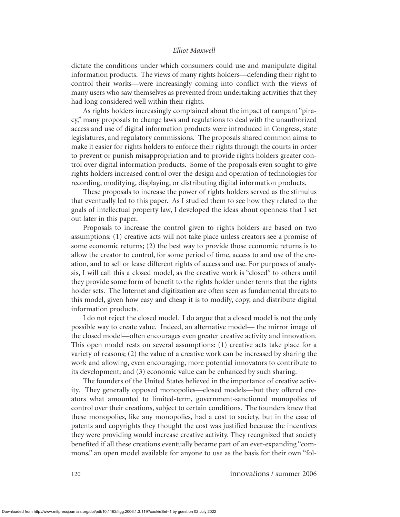dictate the conditions under which consumers could use and manipulate digital information products. The views of many rights holders—defending their right to control their works—were increasingly coming into conflict with the views of many users who saw themselves as prevented from undertaking activities that they had long considered well within their rights.

As rights holders increasingly complained about the impact of rampant "piracy," many proposals to change laws and regulations to deal with the unauthorized access and use of digital information products were introduced in Congress, state legislatures, and regulatory commissions. The proposals shared common aims: to make it easier for rights holders to enforce their rights through the courts in order to prevent or punish misappropriation and to provide rights holders greater control over digital information products. Some of the proposals even sought to give rights holders increased control over the design and operation of technologies for recording, modifying, displaying, or distributing digital information products.

These proposals to increase the power of rights holders served as the stimulus that eventually led to this paper. As I studied them to see how they related to the goals of intellectual property law, I developed the ideas about openness that I set out later in this paper.

Proposals to increase the control given to rights holders are based on two assumptions: (1) creative acts will not take place unless creators see a promise of some economic returns; (2) the best way to provide those economic returns is to allow the creator to control, for some period of time, access to and use of the creation, and to sell or lease different rights of access and use. For purposes of analysis, I will call this a closed model, as the creative work is "closed" to others until they provide some form of benefit to the rights holder under terms that the rights holder sets. The Internet and digitization are often seen as fundamental threats to this model, given how easy and cheap it is to modify, copy, and distribute digital information products.

I do not reject the closed model. I do argue that a closed model is not the only possible way to create value. Indeed, an alternative model— the mirror image of the closed model—often encourages even greater creative activity and innovation. This open model rests on several assumptions: (1) creative acts take place for a variety of reasons; (2) the value of a creative work can be increased by sharing the work and allowing, even encouraging, more potential innovators to contribute to its development; and (3) economic value can be enhanced by such sharing.

The founders of the United States believed in the importance of creative activity. They generally opposed monopolies—closed models—but they offered creators what amounted to limited-term, government-sanctioned monopolies of control over their creations, subject to certain conditions. The founders knew that these monopolies, like any monopolies, had a cost to society, but in the case of patents and copyrights they thought the cost was justified because the incentives they were providing would increase creative activity. They recognized that society benefited if all these creations eventually became part of an ever-expanding "commons," an open model available for anyone to use as the basis for their own "fol-

120 innova*t*ions / summer 2006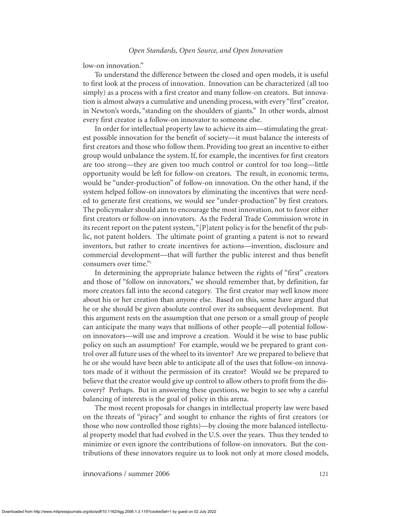low-on innovation."

To understand the difference between the closed and open models, it is useful to first look at the process of innovation. Innovation can be characterized (all too simply) as a process with a first creator and many follow-on creators. But innovation is almost always a cumulative and unending process, with every "first" creator, in Newton's words, "standing on the shoulders of giants." In other words, almost every first creator is a follow-on innovator to someone else.

In order for intellectual property law to achieve its aim—stimulating the greatest possible innovation for the benefit of society—it must balance the interests of first creators and those who follow them. Providing too great an incentive to either group would unbalance the system. If, for example, the incentives for first creators are too strong—they are given too much control or control for too long—little opportunity would be left for follow-on creators. The result, in economic terms, would be "under-production" of follow-on innovation. On the other hand, if the system helped follow-on innovators by eliminating the incentives that were needed to generate first creations, we would see "under-production" by first creators. The policymaker should aim to encourage the most innovation, not to favor either first creators or follow-on innovators. As the Federal Trade Commission wrote in its recent report on the patent system, " $[P]$  atent policy is for the benefit of the public, not patent holders. The ultimate point of granting a patent is not to reward inventors, but rather to create incentives for actions—invention, disclosure and commercial development—that will further the public interest and thus benefit consumers over time."<sup>1</sup>

In determining the appropriate balance between the rights of "first" creators and those of "follow on innovators," we should remember that, by definition, far more creators fall into the second category. The first creator may well know more about his or her creation than anyone else. Based on this, some have argued that he or she should be given absolute control over its subsequent development. But this argument rests on the assumption that one person or a small group of people can anticipate the many ways that millions of other people—all potential followon innovators—will use and improve a creation. Would it be wise to base public policy on such an assumption? For example, would we be prepared to grant control over all future uses of the wheel to its inventor? Are we prepared to believe that he or she would have been able to anticipate all of the uses that follow-on innovators made of it without the permission of its creator? Would we be prepared to believe that the creator would give up control to allow others to profit from the discovery? Perhaps. But in answering these questions, we begin to see why a careful balancing of interests is the goal of policy in this arena.

The most recent proposals for changes in intellectual property law were based on the threats of "piracy" and sought to enhance the rights of first creators (or those who now controlled those rights)—by closing the more balanced intellectual property model that had evolved in the U.S. over the years. Thus they tended to minimize or even ignore the contributions of follow-on innovators. But the contributions of these innovators require us to look not only at more closed models,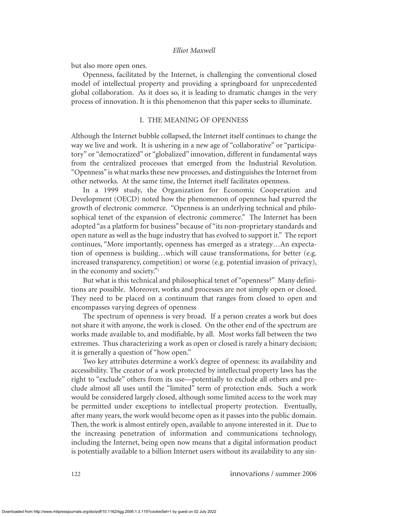but also more open ones.

Openness, facilitated by the Internet, is challenging the conventional closed model of intellectual property and providing a springboard for unprecedented global collaboration. As it does so, it is leading to dramatic changes in the very process of innovation. It is this phenomenon that this paper seeks to illuminate.

# I. THE MEANING OF OPENNESS

Although the Internet bubble collapsed, the Internet itself continues to change the way we live and work. It is ushering in a new age of "collaborative" or "participatory" or "democratized" or "globalized" innovation, different in fundamental ways from the centralized processes that emerged from the Industrial Revolution. "Openness" is what marks these new processes, and distinguishes the Internet from other networks. At the same time, the Internet itself facilitates openness.

In a 1999 study, the Organization for Economic Cooperation and Development (OECD) noted how the phenomenon of openness had spurred the growth of electronic commerce. "Openness is an underlying technical and philosophical tenet of the expansion of electronic commerce." The Internet has been adopted "as a platform for business" because of "its non-proprietary standards and open nature as well as the huge industry that has evolved to support it." The report continues, "More importantly, openness has emerged as a strategy…An expectation of openness is building…which will cause transformations, for better (e.g. increased transparency, competition) or worse (e.g. potential invasion of privacy), in the economy and society."<sup>2</sup>

But what is this technical and philosophical tenet of "openness?" Many definitions are possible. Moreover, works and processes are not simply open or closed. They need to be placed on a continuum that ranges from closed to open and encompasses varying degrees of openness

The spectrum of openness is very broad. If a person creates a work but does not share it with anyone, the work is closed. On the other end of the spectrum are works made available to, and modifiable, by all. Most works fall between the two extremes. Thus characterizing a work as open or closed is rarely a binary decision; it is generally a question of "how open."

Two key attributes determine a work's degree of openness: its availability and accessibility. The creator of a work protected by intellectual property laws has the right to "exclude" others from its use—potentially to exclude all others and preclude almost all uses until the "limited" term of protection ends. Such a work would be considered largely closed, although some limited access to the work may be permitted under exceptions to intellectual property protection. Eventually, after many years, the work would become open as it passes into the public domain. Then, the work is almost entirely open, available to anyone interested in it. Due to the increasing penetration of information and communications technology, including the Internet, being open now means that a digital information product is potentially available to a billion Internet users without its availability to any sin-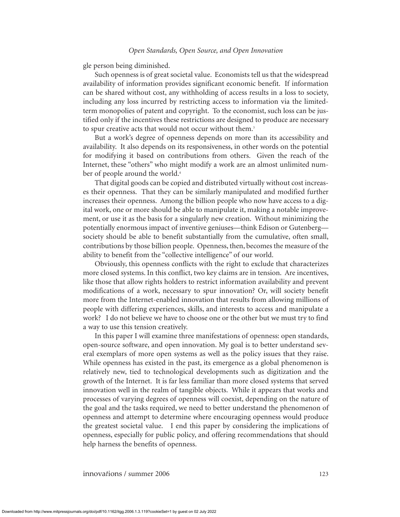gle person being diminished.

Such openness is of great societal value. Economists tell us that the widespread availability of information provides significant economic benefit. If information can be shared without cost, any withholding of access results in a loss to society, including any loss incurred by restricting access to information via the limitedterm monopolies of patent and copyright. To the economist, such loss can be justified only if the incentives these restrictions are designed to produce are necessary to spur creative acts that would not occur without them.<sup>3</sup>

But a work's degree of openness depends on more than its accessibility and availability. It also depends on its responsiveness, in other words on the potential for modifying it based on contributions from others. Given the reach of the Internet, these "others" who might modify a work are an almost unlimited number of people around the world.<sup>4</sup>

That digital goods can be copied and distributed virtually without cost increases their openness. That they can be similarly manipulated and modified further increases their openness. Among the billion people who now have access to a digital work, one or more should be able to manipulate it, making a notable improvement, or use it as the basis for a singularly new creation. Without minimizing the potentially enormous impact of inventive geniuses—think Edison or Gutenberg society should be able to benefit substantially from the cumulative, often small, contributions by those billion people. Openness, then, becomes the measure of the ability to benefit from the "collective intelligence" of our world.

Obviously, this openness conflicts with the right to exclude that characterizes more closed systems. In this conflict, two key claims are in tension. Are incentives, like those that allow rights holders to restrict information availability and prevent modifications of a work, necessary to spur innovation? Or, will society benefit more from the Internet-enabled innovation that results from allowing millions of people with differing experiences, skills, and interests to access and manipulate a work? I do not believe we have to choose one or the other but we must try to find a way to use this tension creatively.

In this paper I will examine three manifestations of openness: open standards, open-source software, and open innovation. My goal is to better understand several exemplars of more open systems as well as the policy issues that they raise. While openness has existed in the past, its emergence as a global phenomenon is relatively new, tied to technological developments such as digitization and the growth of the Internet. It is far less familiar than more closed systems that served innovation well in the realm of tangible objects. While it appears that works and processes of varying degrees of openness will coexist, depending on the nature of the goal and the tasks required, we need to better understand the phenomenon of openness and attempt to determine where encouraging openness would produce the greatest societal value. I end this paper by considering the implications of openness, especially for public policy, and offering recommendations that should help harness the benefits of openness.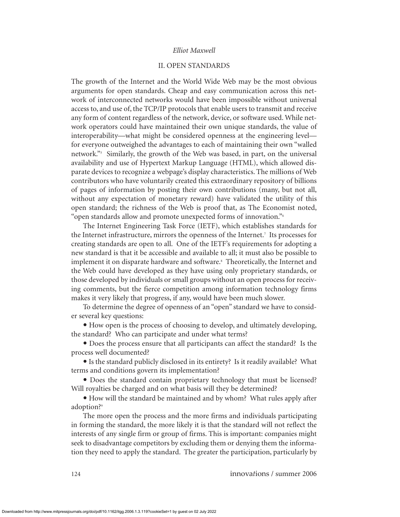#### II. OPEN STANDARDS

The growth of the Internet and the World Wide Web may be the most obvious arguments for open standards. Cheap and easy communication across this network of interconnected networks would have been impossible without universal access to, and use of, the TCP/IP protocols that enable users to transmit and receive any form of content regardless of the network, device, or software used. While network operators could have maintained their own unique standards, the value of interoperability—what might be considered openness at the engineering level for everyone outweighed the advantages to each of maintaining their own "walled network."<sup>5</sup> Similarly, the growth of the Web was based, in part, on the universal availability and use of Hypertext Markup Language (HTML), which allowed disparate devices to recognize a webpage's display characteristics. The millions of Web contributors who have voluntarily created this extraordinary repository of billions of pages of information by posting their own contributions (many, but not all, without any expectation of monetary reward) have validated the utility of this open standard; the richness of the Web is proof that, as The Economist noted, "open standards allow and promote unexpected forms of innovation."<sup>6</sup>

The Internet Engineering Task Force (IETF), which establishes standards for the Internet infrastructure, mirrors the openness of the Internet.<sup>7</sup> Its processes for creating standards are open to all. One of the IETF's requirements for adopting a new standard is that it be accessible and available to all; it must also be possible to implement it on disparate hardware and software.<sup>8</sup> Theoretically, the Internet and the Web could have developed as they have using only proprietary standards, or those developed by individuals or small groups without an open process for receiving comments, but the fierce competition among information technology firms makes it very likely that progress, if any, would have been much slower.

To determine the degree of openness of an "open" standard we have to consider several key questions:

 $\bullet$  How open is the process of choosing to develop, and ultimately developing, the standard? Who can participate and under what terms?

• Does the process ensure that all participants can affect the standard? Is the process well documented?

• Is the standard publicly disclosed in its entirety? Is it readily available? What terms and conditions govern its implementation?

• Does the standard contain proprietary technology that must be licensed? Will royalties be charged and on what basis will they be determined?

• How will the standard be maintained and by whom? What rules apply after adoption?<sup>9</sup>

The more open the process and the more firms and individuals participating in forming the standard, the more likely it is that the standard will not reflect the interests of any single firm or group of firms. This is important: companies might seek to disadvantage competitors by excluding them or denying them the information they need to apply the standard. The greater the participation, particularly by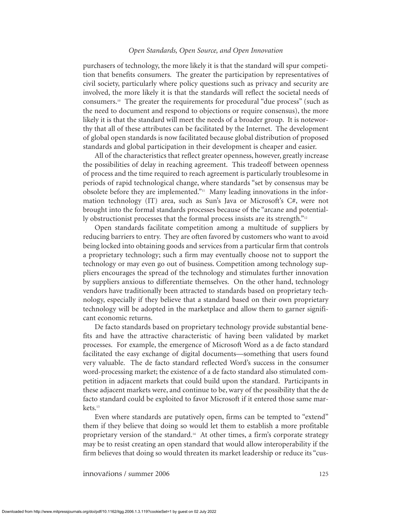purchasers of technology, the more likely it is that the standard will spur competition that benefits consumers. The greater the participation by representatives of civil society, particularly where policy questions such as privacy and security are involved, the more likely it is that the standards will reflect the societal needs of consumers.<sup>10</sup> The greater the requirements for procedural "due process" (such as the need to document and respond to objections or require consensus), the more likely it is that the standard will meet the needs of a broader group. It is noteworthy that all of these attributes can be facilitated by the Internet. The development of global open standards is now facilitated because global distribution of proposed standards and global participation in their development is cheaper and easier.

All of the characteristics that reflect greater openness, however, greatly increase the possibilities of delay in reaching agreement. This tradeoff between openness of process and the time required to reach agreement is particularly troublesome in periods of rapid technological change, where standards "set by consensus may be obsolete before they are implemented."<sup>11</sup> Many leading innovations in the information technology (IT) area, such as Sun's Java or Microsoft's C#, were not brought into the formal standards processes because of the "arcane and potentially obstructionist processes that the formal process insists are its strength."<sup>12</sup>

Open standards facilitate competition among a multitude of suppliers by reducing barriers to entry. They are often favored by customers who want to avoid being locked into obtaining goods and services from a particular firm that controls a proprietary technology; such a firm may eventually choose not to support the technology or may even go out of business. Competition among technology suppliers encourages the spread of the technology and stimulates further innovation by suppliers anxious to differentiate themselves. On the other hand, technology vendors have traditionally been attracted to standards based on proprietary technology, especially if they believe that a standard based on their own proprietary technology will be adopted in the marketplace and allow them to garner significant economic returns.

De facto standards based on proprietary technology provide substantial benefits and have the attractive characteristic of having been validated by market processes. For example, the emergence of Microsoft Word as a de facto standard facilitated the easy exchange of digital documents—something that users found very valuable. The de facto standard reflected Word's success in the consumer word-processing market; the existence of a de facto standard also stimulated competition in adjacent markets that could build upon the standard. Participants in these adjacent markets were, and continue to be, wary of the possibility that the de facto standard could be exploited to favor Microsoft if it entered those same markets.<sup>13</sup>

Even where standards are putatively open, firms can be tempted to "extend" them if they believe that doing so would let them to establish a more profitable proprietary version of the standard.<sup>14</sup> At other times, a firm's corporate strategy may be to resist creating an open standard that would allow interoperability if the firm believes that doing so would threaten its market leadership or reduce its "cus-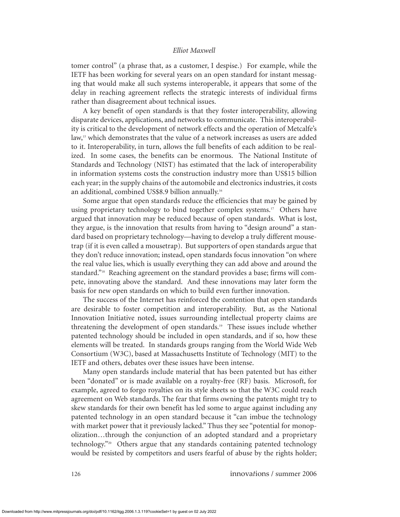tomer control" (a phrase that, as a customer, I despise.) For example, while the IETF has been working for several years on an open standard for instant messaging that would make all such systems interoperable, it appears that some of the delay in reaching agreement reflects the strategic interests of individual firms rather than disagreement about technical issues.

A key benefit of open standards is that they foster interoperability, allowing disparate devices, applications, and networks to communicate. This interoperability is critical to the development of network effects and the operation of Metcalfe's law,<sup>15</sup> which demonstrates that the value of a network increases as users are added to it. Interoperability, in turn, allows the full benefits of each addition to be realized. In some cases, the benefits can be enormous. The National Institute of Standards and Technology (NIST) has estimated that the lack of interoperability in information systems costs the construction industry more than US\$15 billion each year; in the supply chains of the automobile and electronics industries, it costs an additional, combined US\$8.9 billion annually.<sup>16</sup>

Some argue that open standards reduce the efficiencies that may be gained by using proprietary technology to bind together complex systems.<sup>17</sup> Others have argued that innovation may be reduced because of open standards. What is lost, they argue, is the innovation that results from having to "design around" a standard based on proprietary technology—having to develop a truly different mousetrap (if it is even called a mousetrap). But supporters of open standards argue that they don't reduce innovation; instead, open standards focus innovation "on where the real value lies, which is usually everything they can add above and around the standard."<sup>18</sup> Reaching agreement on the standard provides a base; firms will compete, innovating above the standard. And these innovations may later form the basis for new open standards on which to build even further innovation.

The success of the Internet has reinforced the contention that open standards are desirable to foster competition and interoperability. But, as the National Innovation Initiative noted, issues surrounding intellectual property claims are threatening the development of open standards.<sup>19</sup> These issues include whether patented technology should be included in open standards, and if so, how these elements will be treated. In standards groups ranging from the World Wide Web Consortium (W3C), based at Massachusetts Institute of Technology (MIT) to the IETF and others, debates over these issues have been intense.

Many open standards include material that has been patented but has either been "donated" or is made available on a royalty-free (RF) basis. Microsoft, for example, agreed to forgo royalties on its style sheets so that the W3C could reach agreement on Web standards. The fear that firms owning the patents might try to skew standards for their own benefit has led some to argue against including any patented technology in an open standard because it "can imbue the technology with market power that it previously lacked." Thus they see "potential for monopolization…through the conjunction of an adopted standard and a proprietary technology."<sup>20</sup> Others argue that any standards containing patented technology would be resisted by competitors and users fearful of abuse by the rights holder;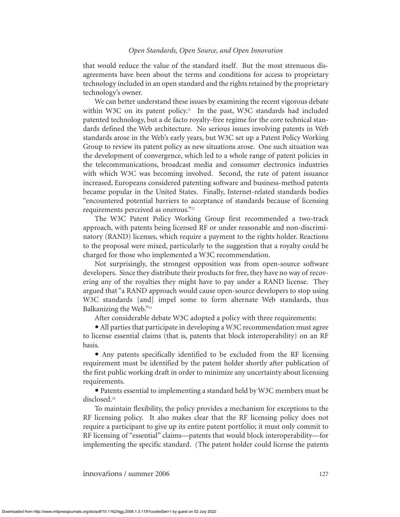that would reduce the value of the standard itself. But the most strenuous disagreements have been about the terms and conditions for access to proprietary technology included in an open standard and the rights retained by the proprietary technology's owner.

We can better understand these issues by examining the recent vigorous debate within W3C on its patent policy.<sup>21</sup> In the past, W3C standards had included patented technology, but a de facto royalty-free regime for the core technical standards defined the Web architecture. No serious issues involving patents in Web standards arose in the Web's early years, but W3C set up a Patent Policy Working Group to review its patent policy as new situations arose. One such situation was the development of convergence, which led to a whole range of patent policies in the telecommunications, broadcast media and consumer electronics industries with which W3C was becoming involved. Second, the rate of patent issuance increased, Europeans considered patenting software and business-method patents became popular in the United States. Finally, Internet-related standards bodies "encountered potential barriers to acceptance of standards because of licensing requirements perceived as onerous."<sup>22</sup>

The W3C Patent Policy Working Group first recommended a two-track approach, with patents being licensed RF or under reasonable and non-discriminatory (RAND) licenses, which require a payment to the rights holder. Reactions to the proposal were mixed, particularly to the suggestion that a royalty could be charged for those who implemented a W3C recommendation.

Not surprisingly, the strongest opposition was from open-source software developers. Since they distribute their products for free, they have no way of recovering any of the royalties they might have to pay under a RAND license. They argued that "a RAND approach would cause open-source developers to stop using W<sub>3</sub>C standards [and] impel some to form alternate Web standards, thus Balkanizing the Web."<sup>23</sup>

After considerable debate W3C adopted a policy with three requirements:

• All parties that participate in developing a W3C recommendation must agree to license essential claims (that is, patents that block interoperability) on an RF basis.

• Any patents specifically identified to be excluded from the RF licensing requirement must be identified by the patent holder shortly after publication of the first public working draft in order to minimize any uncertainty about licensing requirements.

• Patents essential to implementing a standard held by W3C members must be disclosed.<sup>24</sup>

To maintain flexibility, the policy provides a mechanism for exceptions to the RF licensing policy. It also makes clear that the RF licensing policy does not require a participant to give up its entire patent portfolio; it must only commit to RF licensing of "essential" claims—patents that would block interoperability—for implementing the specific standard. (The patent holder could license the patents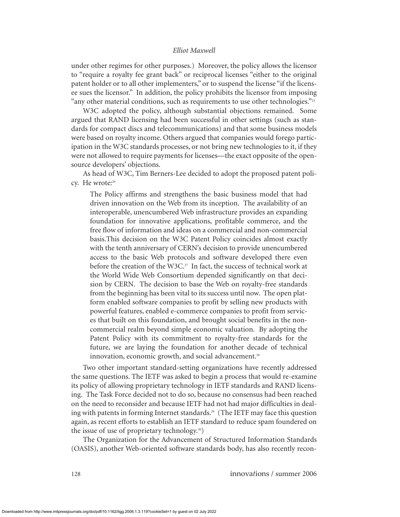under other regimes for other purposes.) Moreover, the policy allows the licensor to "require a royalty fee grant back" or reciprocal licenses "either to the original patent holder or to all other implementers," or to suspend the license "if the licensee sues the licensor." In addition, the policy prohibits the licensor from imposing "any other material conditions, such as requirements to use other technologies." $25$ 

W3C adopted the policy, although substantial objections remained. Some argued that RAND licensing had been successful in other settings (such as standards for compact discs and telecommunications) and that some business models were based on royalty income. Others argued that companies would forego participation in the W3C standards processes, or not bring new technologies to it, if they were not allowed to require payments for licenses—the exact opposite of the opensource developers' objections.

As head of W3C, Tim Berners-Lee decided to adopt the proposed patent policy. He wrote:<sup>26</sup>

The Policy affirms and strengthens the basic business model that had driven innovation on the Web from its inception. The availability of an interoperable, unencumbered Web infrastructure provides an expanding foundation for innovative applications, profitable commerce, and the free flow of information and ideas on a commercial and non-commercial basis.This decision on the W3C Patent Policy coincides almost exactly with the tenth anniversary of CERN's decision to provide unencumbered access to the basic Web protocols and software developed there even before the creation of the W3C.<sup>27</sup> In fact, the success of technical work at the World Wide Web Consortium depended significantly on that decision by CERN. The decision to base the Web on royalty-free standards from the beginning has been vital to its success until now. The open platform enabled software companies to profit by selling new products with powerful features, enabled e-commerce companies to profit from services that built on this foundation, and brought social benefits in the noncommercial realm beyond simple economic valuation. By adopting the Patent Policy with its commitment to royalty-free standards for the future, we are laying the foundation for another decade of technical innovation, economic growth, and social advancement.<sup>28</sup>

Two other important standard-setting organizations have recently addressed the same questions. The IETF was asked to begin a process that would re-examine its policy of allowing proprietary technology in IETF standards and RAND licensing. The Task Force decided not to do so, because no consensus had been reached on the need to reconsider and because IETF had not had major difficulties in dealing with patents in forming Internet standards.<sup>29</sup> (The IETF may face this question again, as recent efforts to establish an IETF standard to reduce spam foundered on the issue of use of proprietary technology.30)

The Organization for the Advancement of Structured Information Standards (OASIS), another Web-oriented software standards body, has also recently recon-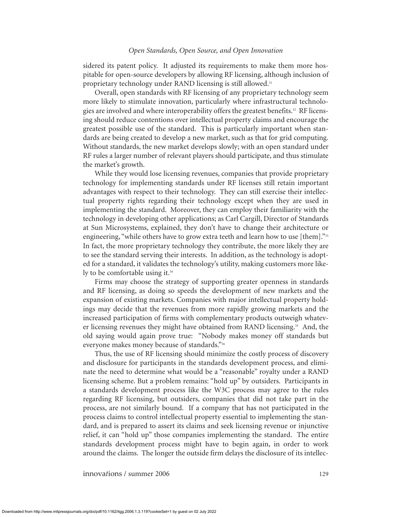sidered its patent policy. It adjusted its requirements to make them more hospitable for open-source developers by allowing RF licensing, although inclusion of proprietary technology under RAND licensing is still allowed.<sup>31</sup>

Overall, open standards with RF licensing of any proprietary technology seem more likely to stimulate innovation, particularly where infrastructural technologies are involved and where interoperability offers the greatest benefits.<sup>32</sup> RF licensing should reduce contentions over intellectual property claims and encourage the greatest possible use of the standard. This is particularly important when standards are being created to develop a new market, such as that for grid computing. Without standards, the new market develops slowly; with an open standard under RF rules a larger number of relevant players should participate, and thus stimulate the market's growth.

While they would lose licensing revenues, companies that provide proprietary technology for implementing standards under RF licenses still retain important advantages with respect to their technology. They can still exercise their intellectual property rights regarding their technology except when they are used in implementing the standard. Moreover, they can employ their familiarity with the technology in developing other applications; as Carl Cargill, Director of Standards at Sun Microsystems, explained, they don't have to change their architecture or engineering, "while others have to grow extra teeth and learn how to use [them]."<sup>33</sup> In fact, the more proprietary technology they contribute, the more likely they are to see the standard serving their interests. In addition, as the technology is adopted for a standard, it validates the technology's utility, making customers more likely to be comfortable using it.<sup>34</sup>

Firms may choose the strategy of supporting greater openness in standards and RF licensing, as doing so speeds the development of new markets and the expansion of existing markets. Companies with major intellectual property holdings may decide that the revenues from more rapidly growing markets and the increased participation of firms with complementary products outweigh whatever licensing revenues they might have obtained from RAND licensing.<sup>35</sup> And, the old saying would again prove true: "Nobody makes money off standards but everyone makes money because of standards."<sup>36</sup>

Thus, the use of RF licensing should minimize the costly process of discovery and disclosure for participants in the standards development process, and eliminate the need to determine what would be a "reasonable" royalty under a RAND licensing scheme. But a problem remains: "hold up" by outsiders. Participants in a standards development process like the W3C process may agree to the rules regarding RF licensing, but outsiders, companies that did not take part in the process, are not similarly bound. If a company that has not participated in the process claims to control intellectual property essential to implementing the standard, and is prepared to assert its claims and seek licensing revenue or injunctive relief, it can "hold up" those companies implementing the standard. The entire standards development process might have to begin again, in order to work around the claims. The longer the outside firm delays the disclosure of its intellec-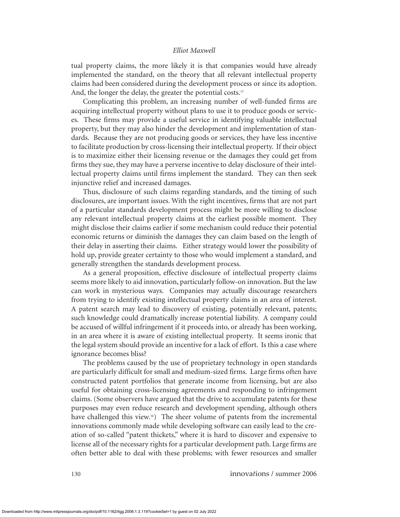tual property claims, the more likely it is that companies would have already implemented the standard, on the theory that all relevant intellectual property claims had been considered during the development process or since its adoption. And, the longer the delay, the greater the potential costs.<sup>37</sup>

Complicating this problem, an increasing number of well-funded firms are acquiring intellectual property without plans to use it to produce goods or services. These firms may provide a useful service in identifying valuable intellectual property, but they may also hinder the development and implementation of standards. Because they are not producing goods or services, they have less incentive to facilitate production by cross-licensing their intellectual property. If their object is to maximize either their licensing revenue or the damages they could get from firms they sue, they may have a perverse incentive to delay disclosure of their intellectual property claims until firms implement the standard. They can then seek injunctive relief and increased damages.

Thus, disclosure of such claims regarding standards, and the timing of such disclosures, are important issues. With the right incentives, firms that are not part of a particular standards development process might be more willing to disclose any relevant intellectual property claims at the earliest possible moment. They might disclose their claims earlier if some mechanism could reduce their potential economic returns or diminish the damages they can claim based on the length of their delay in asserting their claims. Either strategy would lower the possibility of hold up, provide greater certainty to those who would implement a standard, and generally strengthen the standards development process.

As a general proposition, effective disclosure of intellectual property claims seems more likely to aid innovation, particularly follow-on innovation. But the law can work in mysterious ways. Companies may actually discourage researchers from trying to identify existing intellectual property claims in an area of interest. A patent search may lead to discovery of existing, potentially relevant, patents; such knowledge could dramatically increase potential liability. A company could be accused of willful infringement if it proceeds into, or already has been working, in an area where it is aware of existing intellectual property. It seems ironic that the legal system should provide an incentive for a lack of effort. Is this a case where ignorance becomes bliss?

The problems caused by the use of proprietary technology in open standards are particularly difficult for small and medium-sized firms. Large firms often have constructed patent portfolios that generate income from licensing, but are also useful for obtaining cross-licensing agreements and responding to infringement claims. (Some observers have argued that the drive to accumulate patents for these purposes may even reduce research and development spending, although others have challenged this view.<sup>38</sup>) The sheer volume of patents from the incremental innovations commonly made while developing software can easily lead to the creation of so-called "patent thickets," where it is hard to discover and expensive to license all of the necessary rights for a particular development path. Large firms are often better able to deal with these problems; with fewer resources and smaller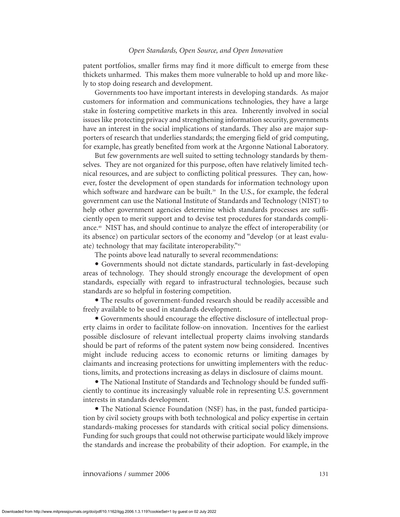patent portfolios, smaller firms may find it more difficult to emerge from these thickets unharmed. This makes them more vulnerable to hold up and more likely to stop doing research and development.

Governments too have important interests in developing standards. As major customers for information and communications technologies, they have a large stake in fostering competitive markets in this area. Inherently involved in social issues like protecting privacy and strengthening information security, governments have an interest in the social implications of standards. They also are major supporters of research that underlies standards; the emerging field of grid computing, for example, has greatly benefited from work at the Argonne National Laboratory.

But few governments are well suited to setting technology standards by themselves. They are not organized for this purpose, often have relatively limited technical resources, and are subject to conflicting political pressures. They can, however, foster the development of open standards for information technology upon which software and hardware can be built.<sup>39</sup> In the U.S., for example, the federal government can use the National Institute of Standards and Technology (NIST) to help other government agencies determine which standards processes are sufficiently open to merit support and to devise test procedures for standards compliance.<sup>40</sup> NIST has, and should continue to analyze the effect of interoperability (or its absence) on particular sectors of the economy and "develop (or at least evaluate) technology that may facilitate interoperability."41

The points above lead naturally to several recommendations:

• Governments should not dictate standards, particularly in fast-developing areas of technology. They should strongly encourage the development of open standards, especially with regard to infrastructural technologies, because such standards are so helpful in fostering competition.

• The results of government-funded research should be readily accessible and freely available to be used in standards development.

• Governments should encourage the effective disclosure of intellectual property claims in order to facilitate follow-on innovation. Incentives for the earliest possible disclosure of relevant intellectual property claims involving standards should be part of reforms of the patent system now being considered. Incentives might include reducing access to economic returns or limiting damages by claimants and increasing protections for unwitting implementers with the reductions, limits, and protections increasing as delays in disclosure of claims mount.

• The National Institute of Standards and Technology should be funded sufficiently to continue its increasingly valuable role in representing U.S. government interests in standards development.

• The National Science Foundation (NSF) has, in the past, funded participation by civil society groups with both technological and policy expertise in certain standards-making processes for standards with critical social policy dimensions. Funding for such groups that could not otherwise participate would likely improve the standards and increase the probability of their adoption. For example, in the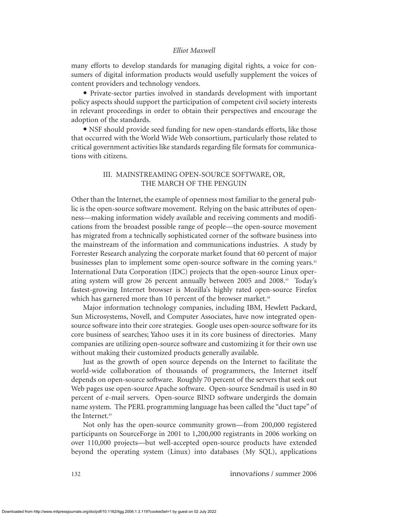many efforts to develop standards for managing digital rights, a voice for consumers of digital information products would usefully supplement the voices of content providers and technology vendors.

• Private-sector parties involved in standards development with important policy aspects should support the participation of competent civil society interests in relevant proceedings in order to obtain their perspectives and encourage the adoption of the standards.

• NSF should provide seed funding for new open-standards efforts, like those that occurred with the World Wide Web consortium, particularly those related to critical government activities like standards regarding file formats for communications with citizens.

# III. MAINSTREAMING OPEN-SOURCE SOFTWARE, OR, THE MARCH OF THE PENGUIN

Other than the Internet, the example of openness most familiar to the general public is the open-source software movement. Relying on the basic attributes of openness—making information widely available and receiving comments and modifications from the broadest possible range of people—the open-source movement has migrated from a technically sophisticated corner of the software business into the mainstream of the information and communications industries. A study by Forrester Research analyzing the corporate market found that 60 percent of major businesses plan to implement some open-source software in the coming years.<sup>42</sup> International Data Corporation (IDC) projects that the open-source Linux operating system will grow 26 percent annually between 2005 and 2008.<sup>43</sup> Today's fastest-growing Internet browser is Mozilla's highly rated open-source Firefox which has garnered more than 10 percent of the browser market.<sup>44</sup>

Major information technology companies, including IBM, Hewlett Packard, Sun Microsystems, Novell, and Computer Associates, have now integrated opensource software into their core strategies. Google uses open-source software for its core business of searches; Yahoo uses it in its core business of directories. Many companies are utilizing open-source software and customizing it for their own use without making their customized products generally available.

Just as the growth of open source depends on the Internet to facilitate the world-wide collaboration of thousands of programmers, the Internet itself depends on open-source software. Roughly 70 percent of the servers that seek out Web pages use open-source Apache software. Open-source Sendmail is used in 80 percent of e-mail servers. Open-source BIND software undergirds the domain name system. The PERL programming language has been called the "duct tape" of the Internet.<sup>45</sup>

Not only has the open-source community grown—from 200,000 registered participants on SourceForge in 2001 to 1,200,000 registrants in 2006 working on over 110,000 projects—but well-accepted open-source products have extended beyond the operating system (Linux) into databases (My SQL), applications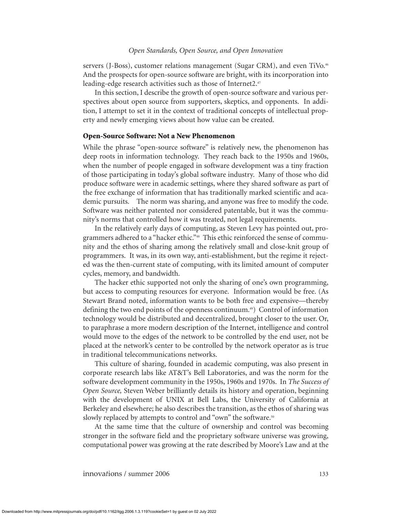servers (J-Boss), customer relations management (Sugar CRM), and even TiVo.<sup>46</sup> And the prospects for open-source software are bright, with its incorporation into leading-edge research activities such as those of Internet2.<sup>47</sup>

In this section, I describe the growth of open-source software and various perspectives about open source from supporters, skeptics, and opponents. In addition, I attempt to set it in the context of traditional concepts of intellectual property and newly emerging views about how value can be created.

## **Open-Source Software: Not a New Phenomenon**

While the phrase "open-source software" is relatively new, the phenomenon has deep roots in information technology. They reach back to the 1950s and 1960s, when the number of people engaged in software development was a tiny fraction of those participating in today's global software industry. Many of those who did produce software were in academic settings, where they shared software as part of the free exchange of information that has traditionally marked scientific and academic pursuits. The norm was sharing, and anyone was free to modify the code. Software was neither patented nor considered patentable, but it was the community's norms that controlled how it was treated, not legal requirements.

In the relatively early days of computing, as Steven Levy has pointed out, programmers adhered to a "hacker ethic."<sup>48</sup> This ethic reinforced the sense of community and the ethos of sharing among the relatively small and close-knit group of programmers. It was, in its own way, anti-establishment, but the regime it rejected was the then-current state of computing, with its limited amount of computer cycles, memory, and bandwidth.

The hacker ethic supported not only the sharing of one's own programming, but access to computing resources for everyone. Information would be free. (As Stewart Brand noted, information wants to be both free and expensive—thereby defining the two end points of the openness continuum.49) Control of information technology would be distributed and decentralized, brought closer to the user. Or, to paraphrase a more modern description of the Internet, intelligence and control would move to the edges of the network to be controlled by the end user, not be placed at the network's center to be controlled by the network operator as is true in traditional telecommunications networks.

This culture of sharing, founded in academic computing, was also present in corporate research labs like AT&T's Bell Laboratories, and was the norm for the software development community in the 1950s, 1960s and 1970s. In *The Success of Open Source,* Steven Weber brilliantly details its history and operation, beginning with the development of UNIX at Bell Labs, the University of California at Berkeley and elsewhere; he also describes the transition, as the ethos of sharing was slowly replaced by attempts to control and "own" the software.<sup>50</sup>

At the same time that the culture of ownership and control was becoming stronger in the software field and the proprietary software universe was growing, computational power was growing at the rate described by Moore's Law and at the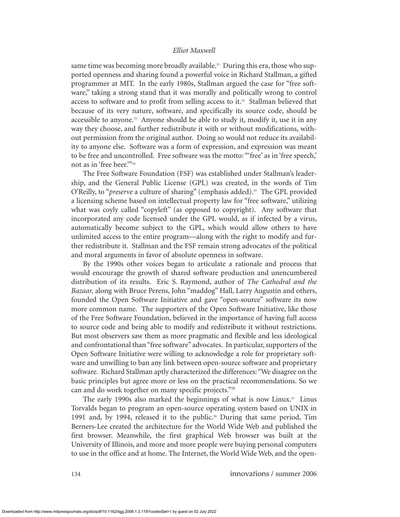same time was becoming more broadly available.<sup>51</sup> During this era, those who supported openness and sharing found a powerful voice in Richard Stallman, a gifted programmer at MIT. In the early 1980s, Stallman argued the case for "free software," taking a strong stand that it was morally and politically wrong to control access to software and to profit from selling access to it. $52$  Stallman believed that because of its very nature, software, and specifically its source code, should be accessible to anyone.<sup>53</sup> Anyone should be able to study it, modify it, use it in any way they choose, and further redistribute it with or without modifications, without permission from the original author. Doing so would not reduce its availability to anyone else. Software was a form of expression, and expression was meant to be free and uncontrolled. Free software was the motto: "'free' as in 'free speech,' not as in 'free beer.'"<sup>54</sup>

The Free Software Foundation (FSF) was established under Stallman's leadership, and the General Public License (GPL) was created, in the words of Tim O'Reilly, to "*preserve* a culture of sharing" (emphasis added).<sup>55</sup> The GPL provided a licensing scheme based on intellectual property law for "free software," utilizing what was coyly called "copyleft" (as opposed to copyright). Any software that incorporated any code licensed under the GPL would, as if infected by a virus, automatically become subject to the GPL, which would allow others to have unlimited access to the entire program—along with the right to modify and further redistribute it. Stallman and the FSF remain strong advocates of the political and moral arguments in favor of absolute openness in software.

By the 1990s other voices began to articulate a rationale and process that would encourage the growth of shared software production and unencumbered distribution of its results. Eric S. Raymond, author of *The Cathedral and the Bazaar,* along with Bruce Perens, John "maddog" Hall, Larry Augustin and others, founded the Open Software Initiative and gave "open-source" software its now more common name. The supporters of the Open Software Initiative, like those of the Free Software Foundation, believed in the importance of having full access to source code and being able to modify and redistribute it without restrictions. But most observers saw them as more pragmatic and flexible and less ideological and confrontational than "free software" advocates. In particular, supporters of the Open Software Initiative were willing to acknowledge a role for proprietary software and unwilling to ban any link between open-source software and proprietary software. Richard Stallman aptly characterized the differences: "We disagree on the basic principles but agree more or less on the practical recommendations. So we can and do work together on many specific projects."<sup>56</sup>

The early 1990s also marked the beginnings of what is now Linux.<sup>57</sup> Linus Torvalds began to program an open-source operating system based on UNIX in 1991 and, by 1994, released it to the public.<sup>58</sup> During that same period, Tim Berners-Lee created the architecture for the World Wide Web and published the first browser. Meanwhile, the first graphical Web browser was built at the University of Illinois, and more and more people were buying personal computers to use in the office and at home. The Internet, the World Wide Web, and the open-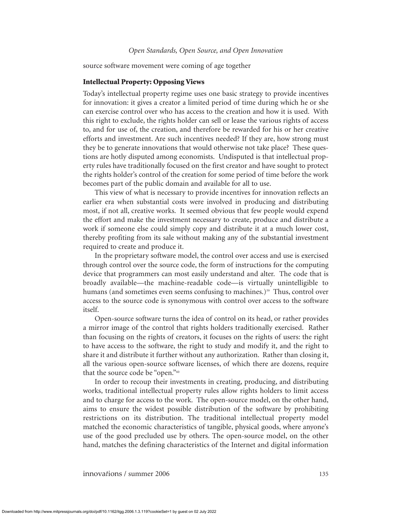source software movement were coming of age together

#### **Intellectual Property: Opposing Views**

Today's intellectual property regime uses one basic strategy to provide incentives for innovation: it gives a creator a limited period of time during which he or she can exercise control over who has access to the creation and how it is used. With this right to exclude, the rights holder can sell or lease the various rights of access to, and for use of, the creation, and therefore be rewarded for his or her creative efforts and investment. Are such incentives needed? If they are, how strong must they be to generate innovations that would otherwise not take place? These questions are hotly disputed among economists. Undisputed is that intellectual property rules have traditionally focused on the first creator and have sought to protect the rights holder's control of the creation for some period of time before the work becomes part of the public domain and available for all to use.

This view of what is necessary to provide incentives for innovation reflects an earlier era when substantial costs were involved in producing and distributing most, if not all, creative works. It seemed obvious that few people would expend the effort and make the investment necessary to create, produce and distribute a work if someone else could simply copy and distribute it at a much lower cost, thereby profiting from its sale without making any of the substantial investment required to create and produce it.

In the proprietary software model, the control over access and use is exercised through control over the source code, the form of instructions for the computing device that programmers can most easily understand and alter. The code that is broadly available—the machine-readable code—is virtually unintelligible to humans (and sometimes even seems confusing to machines.)<sup>59</sup> Thus, control over access to the source code is synonymous with control over access to the software itself.

Open-source software turns the idea of control on its head, or rather provides a mirror image of the control that rights holders traditionally exercised. Rather than focusing on the rights of creators, it focuses on the rights of users: the right to have access to the software, the right to study and modify it, and the right to share it and distribute it further without any authorization. Rather than closing it, all the various open-source software licenses, of which there are dozens, require that the source code be "open."<sup>60</sup>

In order to recoup their investments in creating, producing, and distributing works, traditional intellectual property rules allow rights holders to limit access and to charge for access to the work. The open-source model, on the other hand, aims to ensure the widest possible distribution of the software by prohibiting restrictions on its distribution. The traditional intellectual property model matched the economic characteristics of tangible, physical goods, where anyone's use of the good precluded use by others. The open-source model, on the other hand, matches the defining characteristics of the Internet and digital information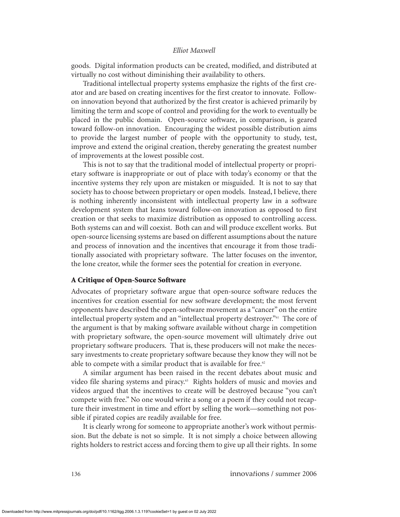goods. Digital information products can be created, modified, and distributed at virtually no cost without diminishing their availability to others.

Traditional intellectual property systems emphasize the rights of the first creator and are based on creating incentives for the first creator to innovate. Followon innovation beyond that authorized by the first creator is achieved primarily by limiting the term and scope of control and providing for the work to eventually be placed in the public domain. Open-source software, in comparison, is geared toward follow-on innovation. Encouraging the widest possible distribution aims to provide the largest number of people with the opportunity to study, test, improve and extend the original creation, thereby generating the greatest number of improvements at the lowest possible cost.

This is not to say that the traditional model of intellectual property or proprietary software is inappropriate or out of place with today's economy or that the incentive systems they rely upon are mistaken or misguided. It is not to say that society has to choose between proprietary or open models. Instead, I believe, there is nothing inherently inconsistent with intellectual property law in a software development system that leans toward follow-on innovation as opposed to first creation or that seeks to maximize distribution as opposed to controlling access. Both systems can and will coexist. Both can and will produce excellent works. But open-source licensing systems are based on different assumptions about the nature and process of innovation and the incentives that encourage it from those traditionally associated with proprietary software. The latter focuses on the inventor, the lone creator, while the former sees the potential for creation in everyone.

# **A Critique of Open-Source Software**

Advocates of proprietary software argue that open-source software reduces the incentives for creation essential for new software development; the most fervent opponents have described the open-software movement as a "cancer" on the entire intellectual property system and an "intellectual property destroyer."<sup>61</sup> The core of the argument is that by making software available without charge in competition with proprietary software, the open-source movement will ultimately drive out proprietary software producers. That is, these producers will not make the necessary investments to create proprietary software because they know they will not be able to compete with a similar product that is available for free.<sup>62</sup>

A similar argument has been raised in the recent debates about music and video file sharing systems and piracy.<sup>63</sup> Rights holders of music and movies and videos argued that the incentives to create will be destroyed because "you can't compete with free." No one would write a song or a poem if they could not recapture their investment in time and effort by selling the work—something not possible if pirated copies are readily available for free.

It is clearly wrong for someone to appropriate another's work without permission. But the debate is not so simple. It is not simply a choice between allowing rights holders to restrict access and forcing them to give up all their rights. In some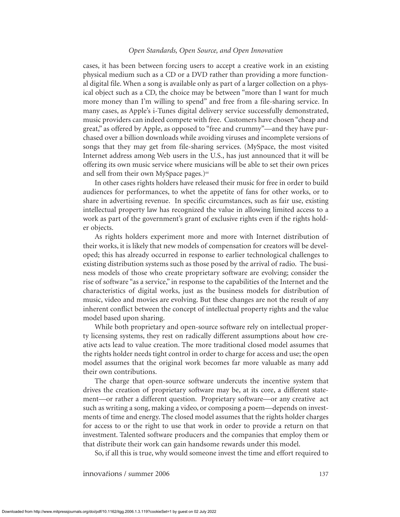cases, it has been between forcing users to accept a creative work in an existing physical medium such as a CD or a DVD rather than providing a more functional digital file. When a song is available only as part of a larger collection on a physical object such as a CD, the choice may be between "more than I want for much more money than I'm willing to spend" and free from a file-sharing service. In many cases, as Apple's i-Tunes digital delivery service successfully demonstrated, music providers can indeed compete with free. Customers have chosen "cheap and great," as offered by Apple, as opposed to "free and crummy"—and they have purchased over a billion downloads while avoiding viruses and incomplete versions of songs that they may get from file-sharing services. (MySpace, the most visited Internet address among Web users in the U.S., has just announced that it will be offering its own music service where musicians will be able to set their own prices and sell from their own MySpace pages.)<sup>64</sup>

In other cases rights holders have released their music for free in order to build audiences for performances, to whet the appetite of fans for other works, or to share in advertising revenue. In specific circumstances, such as fair use, existing intellectual property law has recognized the value in allowing limited access to a work as part of the government's grant of exclusive rights even if the rights holder objects.

As rights holders experiment more and more with Internet distribution of their works, it is likely that new models of compensation for creators will be developed; this has already occurred in response to earlier technological challenges to existing distribution systems such as those posed by the arrival of radio. The business models of those who create proprietary software are evolving; consider the rise of software "as a service," in response to the capabilities of the Internet and the characteristics of digital works, just as the business models for distribution of music, video and movies are evolving. But these changes are not the result of any inherent conflict between the concept of intellectual property rights and the value model based upon sharing.

While both proprietary and open-source software rely on intellectual property licensing systems, they rest on radically different assumptions about how creative acts lead to value creation. The more traditional closed model assumes that the rights holder needs tight control in order to charge for access and use; the open model assumes that the original work becomes far more valuable as many add their own contributions.

The charge that open-source software undercuts the incentive system that drives the creation of proprietary software may be, at its core, a different statement—or rather a different question. Proprietary software—or any creative act such as writing a song, making a video, or composing a poem—depends on investments of time and energy. The closed model assumes that the rights holder charges for access to or the right to use that work in order to provide a return on that investment. Talented software producers and the companies that employ them or that distribute their work can gain handsome rewards under this model.

So, if all this is true, why would someone invest the time and effort required to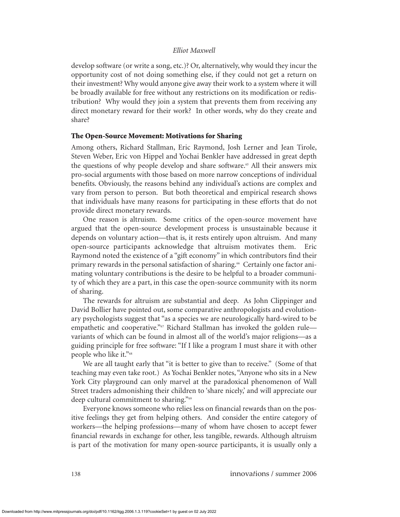develop software (or write a song, etc.)? Or, alternatively, why would they incur the opportunity cost of not doing something else, if they could not get a return on their investment? Why would anyone give away their work to a system where it will be broadly available for free without any restrictions on its modification or redistribution? Why would they join a system that prevents them from receiving any direct monetary reward for their work? In other words, why do they create and share?

# **The Open-Source Movement: Motivations for Sharing**

Among others, Richard Stallman, Eric Raymond, Josh Lerner and Jean Tirole, Steven Weber, Eric von Hippel and Yochai Benkler have addressed in great depth the questions of why people develop and share software.<sup>65</sup> All their answers mix pro-social arguments with those based on more narrow conceptions of individual benefits. Obviously, the reasons behind any individual's actions are complex and vary from person to person. But both theoretical and empirical research shows that individuals have many reasons for participating in these efforts that do not provide direct monetary rewards.

One reason is altruism. Some critics of the open-source movement have argued that the open-source development process is unsustainable because it depends on voluntary action—that is, it rests entirely upon altruism. And many open-source participants acknowledge that altruism motivates them. Eric Raymond noted the existence of a "gift economy" in which contributors find their primary rewards in the personal satisfaction of sharing.<sup>66</sup> Certainly one factor animating voluntary contributions is the desire to be helpful to a broader community of which they are a part, in this case the open-source community with its norm of sharing.

The rewards for altruism are substantial and deep. As John Clippinger and David Bollier have pointed out, some comparative anthropologists and evolutionary psychologists suggest that "as a species we are neurologically hard-wired to be empathetic and cooperative."<sup>67</sup> Richard Stallman has invoked the golden rule variants of which can be found in almost all of the world's major religions—as a guiding principle for free software: "If I like a program I must share it with other people who like it."<sup>68</sup>

We are all taught early that "it is better to give than to receive." (Some of that teaching may even take root.) As Yochai Benkler notes, "Anyone who sits in a New York City playground can only marvel at the paradoxical phenomenon of Wall Street traders admonishing their children to 'share nicely,' and will appreciate our deep cultural commitment to sharing."<sup>69</sup>

Everyone knows someone who relies less on financial rewards than on the positive feelings they get from helping others. And consider the entire category of workers—the helping professions—many of whom have chosen to accept fewer financial rewards in exchange for other, less tangible, rewards. Although altruism is part of the motivation for many open-source participants, it is usually only a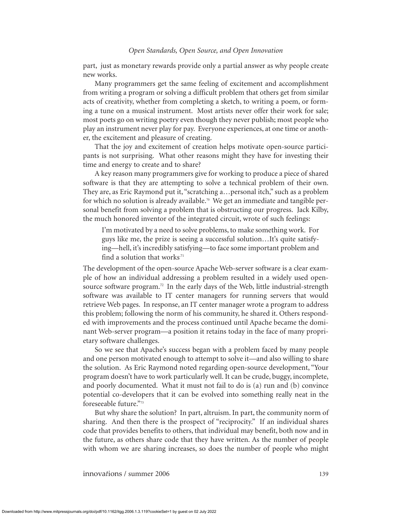part, just as monetary rewards provide only a partial answer as why people create new works.

Many programmers get the same feeling of excitement and accomplishment from writing a program or solving a difficult problem that others get from similar acts of creativity, whether from completing a sketch, to writing a poem, or forming a tune on a musical instrument. Most artists never offer their work for sale; most poets go on writing poetry even though they never publish; most people who play an instrument never play for pay. Everyone experiences, at one time or another, the excitement and pleasure of creating.

That the joy and excitement of creation helps motivate open-source participants is not surprising. What other reasons might they have for investing their time and energy to create and to share?

A key reason many programmers give for working to produce a piece of shared software is that they are attempting to solve a technical problem of their own. They are, as Eric Raymond put it, "scratching a…personal itch," such as a problem for which no solution is already available.<sup>70</sup> We get an immediate and tangible personal benefit from solving a problem that is obstructing our progress. Jack Kilby, the much honored inventor of the integrated circuit, wrote of such feelings:

I'm motivated by a need to solve problems, to make something work. For guys like me, the prize is seeing a successful solution…It's quite satisfying—hell, it's incredibly satisfying—to face some important problem and find a solution that works $^{71}$ 

The development of the open-source Apache Web-server software is a clear example of how an individual addressing a problem resulted in a widely used opensource software program.<sup>72</sup> In the early days of the Web, little industrial-strength software was available to IT center managers for running servers that would retrieve Web pages. In response, an IT center manager wrote a program to address this problem; following the norm of his community, he shared it. Others responded with improvements and the process continued until Apache became the dominant Web-server program—a position it retains today in the face of many proprietary software challenges.

So we see that Apache's success began with a problem faced by many people and one person motivated enough to attempt to solve it—and also willing to share the solution. As Eric Raymond noted regarding open-source development, "Your program doesn't have to work particularly well. It can be crude, buggy, incomplete, and poorly documented. What it must not fail to do is (a) run and (b) convince potential co-developers that it can be evolved into something really neat in the foreseeable future."<sup>73</sup>

But why share the solution? In part, altruism. In part, the community norm of sharing. And then there is the prospect of "reciprocity." If an individual shares code that provides benefits to others, that individual may benefit, both now and in the future, as others share code that they have written. As the number of people with whom we are sharing increases, so does the number of people who might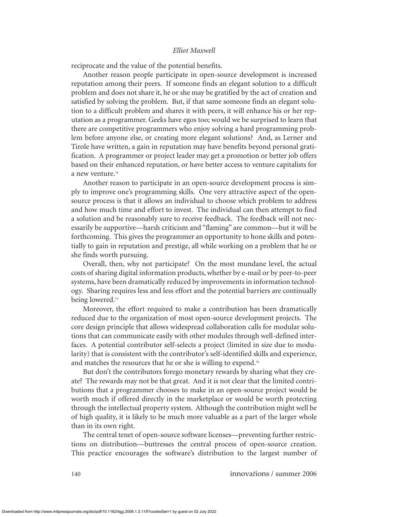reciprocate and the value of the potential benefits.

Another reason people participate in open-source development is increased reputation among their peers. If someone finds an elegant solution to a difficult problem and does not share it, he or she may be gratified by the act of creation and satisfied by solving the problem. But, if that same someone finds an elegant solution to a difficult problem and shares it with peers, it will enhance his or her reputation as a programmer. Geeks have egos too; would we be surprised to learn that there are competitive programmers who enjoy solving a hard programming problem before anyone else, or creating more elegant solutions? And, as Lerner and Tirole have written, a gain in reputation may have benefits beyond personal gratification. A programmer or project leader may get a promotion or better job offers based on their enhanced reputation, or have better access to venture capitalists for a new venture.<sup>74</sup>

Another reason to participate in an open-source development process is simply to improve one's programming skills. One very attractive aspect of the opensource process is that it allows an individual to choose which problem to address and how much time and effort to invest. The individual can then attempt to find a solution and be reasonably sure to receive feedback. The feedback will not necessarily be supportive—harsh criticism and "flaming" are common—but it will be forthcoming. This gives the programmer an opportunity to hone skills and potentially to gain in reputation and prestige, all while working on a problem that he or she finds worth pursuing.

Overall, then, why not participate? On the most mundane level, the actual costs of sharing digital information products, whether by e-mail or by peer-to-peer systems, have been dramatically reduced by improvements in information technology. Sharing requires less and less effort and the potential barriers are continually being lowered.<sup>75</sup>

Moreover, the effort required to make a contribution has been dramatically reduced due to the organization of most open-source development projects. The core design principle that allows widespread collaboration calls for modular solutions that can communicate easily with other modules through well-defined interfaces. A potential contributor self-selects a project (limited in size due to modularity) that is consistent with the contributor's self-identified skills and experience, and matches the resources that he or she is willing to expend.<sup>76</sup>

But don't the contributors forego monetary rewards by sharing what they create? The rewards may not be that great. And it is not clear that the limited contributions that a programmer chooses to make in an open-source project would be worth much if offered directly in the marketplace or would be worth protecting through the intellectual property system. Although the contribution might well be of high quality, it is likely to be much more valuable as a part of the larger whole than in its own right.

The central tenet of open-source software licenses—preventing further restrictions on distribution—buttresses the central process of open-source creation. This practice encourages the software's distribution to the largest number of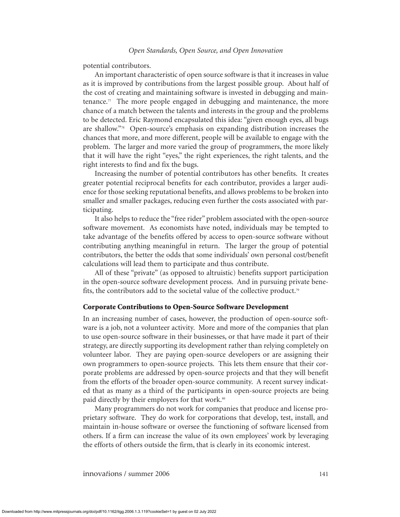potential contributors.

An important characteristic of open source software is that it increases in value as it is improved by contributions from the largest possible group. About half of the cost of creating and maintaining software is invested in debugging and maintenance.<sup>77</sup> The more people engaged in debugging and maintenance, the more chance of a match between the talents and interests in the group and the problems to be detected. Eric Raymond encapsulated this idea: "given enough eyes, all bugs are shallow."<sup>78</sup> Open-source's emphasis on expanding distribution increases the chances that more, and more different, people will be available to engage with the problem. The larger and more varied the group of programmers, the more likely that it will have the right "eyes," the right experiences, the right talents, and the right interests to find and fix the bugs.

Increasing the number of potential contributors has other benefits. It creates greater potential reciprocal benefits for each contributor, provides a larger audience for those seeking reputational benefits, and allows problems to be broken into smaller and smaller packages, reducing even further the costs associated with participating.

It also helps to reduce the "free rider" problem associated with the open-source software movement. As economists have noted, individuals may be tempted to take advantage of the benefits offered by access to open-source software without contributing anything meaningful in return. The larger the group of potential contributors, the better the odds that some individuals' own personal cost/benefit calculations will lead them to participate and thus contribute.

All of these "private" (as opposed to altruistic) benefits support participation in the open-source software development process. And in pursuing private benefits, the contributors add to the societal value of the collective product.<sup>79</sup>

#### **Corporate Contributions to Open-Source Software Development**

In an increasing number of cases, however, the production of open-source software is a job, not a volunteer activity. More and more of the companies that plan to use open-source software in their businesses, or that have made it part of their strategy, are directly supporting its development rather than relying completely on volunteer labor. They are paying open-source developers or are assigning their own programmers to open-source projects. This lets them ensure that their corporate problems are addressed by open-source projects and that they will benefit from the efforts of the broader open-source community. A recent survey indicated that as many as a third of the participants in open-source projects are being paid directly by their employers for that work.<sup>80</sup>

Many programmers do not work for companies that produce and license proprietary software. They do work for corporations that develop, test, install, and maintain in-house software or oversee the functioning of software licensed from others. If a firm can increase the value of its own employees' work by leveraging the efforts of others outside the firm, that is clearly in its economic interest.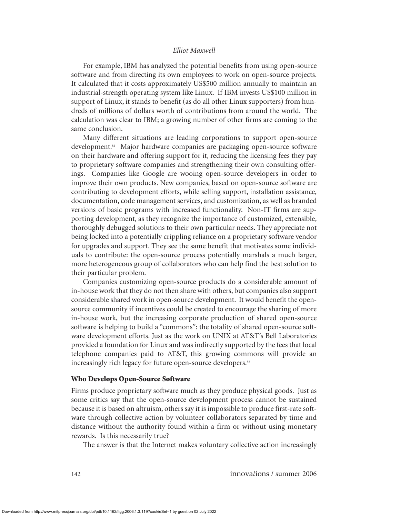For example, IBM has analyzed the potential benefits from using open-source software and from directing its own employees to work on open-source projects. It calculated that it costs approximately US\$500 million annually to maintain an industrial-strength operating system like Linux. If IBM invests US\$100 million in support of Linux, it stands to benefit (as do all other Linux supporters) from hundreds of millions of dollars worth of contributions from around the world. The calculation was clear to IBM; a growing number of other firms are coming to the same conclusion.

Many different situations are leading corporations to support open-source development.<sup>81</sup> Major hardware companies are packaging open-source software on their hardware and offering support for it, reducing the licensing fees they pay to proprietary software companies and strengthening their own consulting offerings. Companies like Google are wooing open-source developers in order to improve their own products. New companies, based on open-source software are contributing to development efforts, while selling support, installation assistance, documentation, code management services, and customization, as well as branded versions of basic programs with increased functionality. Non-IT firms are supporting development, as they recognize the importance of customized, extensible, thoroughly debugged solutions to their own particular needs. They appreciate not being locked into a potentially crippling reliance on a proprietary software vendor for upgrades and support. They see the same benefit that motivates some individuals to contribute: the open-source process potentially marshals a much larger, more heterogeneous group of collaborators who can help find the best solution to their particular problem.

Companies customizing open-source products do a considerable amount of in-house work that they do not then share with others, but companies also support considerable shared work in open-source development. It would benefit the opensource community if incentives could be created to encourage the sharing of more in-house work, but the increasing corporate production of shared open-source software is helping to build a "commons": the totality of shared open-source software development efforts. Just as the work on UNIX at AT&T's Bell Laboratories provided a foundation for Linux and was indirectly supported by the fees that local telephone companies paid to AT&T, this growing commons will provide an increasingly rich legacy for future open-source developers.<sup>82</sup>

#### **Who Develops Open-Source Software**

Firms produce proprietary software much as they produce physical goods. Just as some critics say that the open-source development process cannot be sustained because it is based on altruism, others say it is impossible to produce first-rate software through collective action by volunteer collaborators separated by time and distance without the authority found within a firm or without using monetary rewards. Is this necessarily true?

The answer is that the Internet makes voluntary collective action increasingly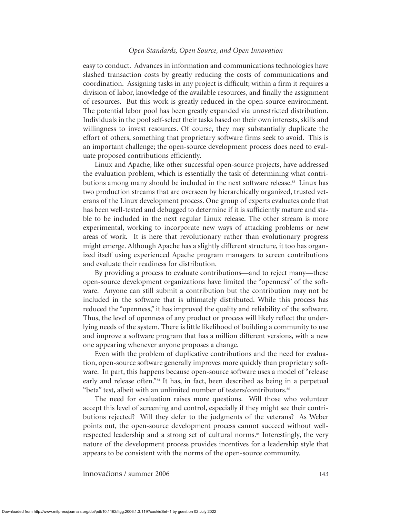easy to conduct. Advances in information and communications technologies have slashed transaction costs by greatly reducing the costs of communications and coordination. Assigning tasks in any project is difficult; within a firm it requires a division of labor, knowledge of the available resources, and finally the assignment of resources. But this work is greatly reduced in the open-source environment. The potential labor pool has been greatly expanded via unrestricted distribution. Individuals in the pool self-select their tasks based on their own interests, skills and willingness to invest resources. Of course, they may substantially duplicate the effort of others, something that proprietary software firms seek to avoid. This is an important challenge; the open-source development process does need to evaluate proposed contributions efficiently.

Linux and Apache, like other successful open-source projects, have addressed the evaluation problem, which is essentially the task of determining what contributions among many should be included in the next software release.<sup>83</sup> Linux has two production streams that are overseen by hierarchically organized, trusted veterans of the Linux development process. One group of experts evaluates code that has been well-tested and debugged to determine if it is sufficiently mature and stable to be included in the next regular Linux release. The other stream is more experimental, working to incorporate new ways of attacking problems or new areas of work. It is here that revolutionary rather than evolutionary progress might emerge. Although Apache has a slightly different structure, it too has organized itself using experienced Apache program managers to screen contributions and evaluate their readiness for distribution.

By providing a process to evaluate contributions—and to reject many—these open-source development organizations have limited the "openness" of the software. Anyone can still submit a contribution but the contribution may not be included in the software that is ultimately distributed. While this process has reduced the "openness," it has improved the quality and reliability of the software. Thus, the level of openness of any product or process will likely reflect the underlying needs of the system. There is little likelihood of building a community to use and improve a software program that has a million different versions, with a new one appearing whenever anyone proposes a change.

Even with the problem of duplicative contributions and the need for evaluation, open-source software generally improves more quickly than proprietary software. In part, this happens because open-source software uses a model of "release early and release often."<sup>84</sup> It has, in fact, been described as being in a perpetual "beta" test, albeit with an unlimited number of testers/contributors.<sup>85</sup>

The need for evaluation raises more questions. Will those who volunteer accept this level of screening and control, especially if they might see their contributions rejected? Will they defer to the judgments of the veterans? As Weber points out, the open-source development process cannot succeed without wellrespected leadership and a strong set of cultural norms.<sup>86</sup> Interestingly, the very nature of the development process provides incentives for a leadership style that appears to be consistent with the norms of the open-source community.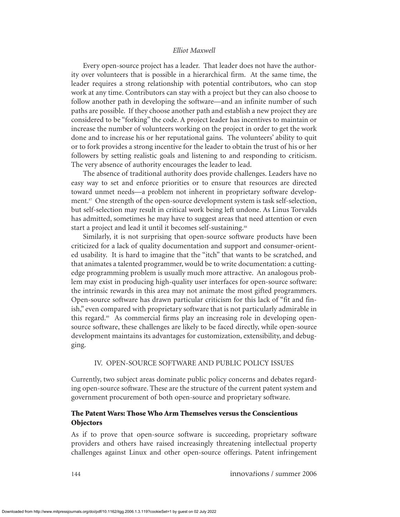Every open-source project has a leader. That leader does not have the authority over volunteers that is possible in a hierarchical firm. At the same time, the leader requires a strong relationship with potential contributors, who can stop work at any time. Contributors can stay with a project but they can also choose to follow another path in developing the software—and an infinite number of such paths are possible. If they choose another path and establish a new project they are considered to be "forking" the code. A project leader has incentives to maintain or increase the number of volunteers working on the project in order to get the work done and to increase his or her reputational gains. The volunteers' ability to quit or to fork provides a strong incentive for the leader to obtain the trust of his or her followers by setting realistic goals and listening to and responding to criticism. The very absence of authority encourages the leader to lead.

The absence of traditional authority does provide challenges. Leaders have no easy way to set and enforce priorities or to ensure that resources are directed toward unmet needs—a problem not inherent in proprietary software development.<sup>87</sup> One strength of the open-source development system is task self-selection, but self-selection may result in critical work being left undone. As Linus Torvalds has admitted, sometimes he may have to suggest areas that need attention or even start a project and lead it until it becomes self-sustaining.<sup>88</sup>

Similarly, it is not surprising that open-source software products have been criticized for a lack of quality documentation and support and consumer-oriented usability. It is hard to imagine that the "itch" that wants to be scratched, and that animates a talented programmer, would be to write documentation: a cuttingedge programming problem is usually much more attractive. An analogous problem may exist in producing high-quality user interfaces for open-source software: the intrinsic rewards in this area may not animate the most gifted programmers. Open-source software has drawn particular criticism for this lack of "fit and finish," even compared with proprietary software that is not particularly admirable in this regard.<sup>89</sup> As commercial firms play an increasing role in developing opensource software, these challenges are likely to be faced directly, while open-source development maintains its advantages for customization, extensibility, and debugging.

#### IV. OPEN-SOURCE SOFTWARE AND PUBLIC POLICY ISSUES

Currently, two subject areas dominate public policy concerns and debates regarding open-source software. These are the structure of the current patent system and government procurement of both open-source and proprietary software.

# **The Patent Wars: Those Who Arm Themselves versus the Conscientious Objectors**

As if to prove that open-source software is succeeding, proprietary software providers and others have raised increasingly threatening intellectual property challenges against Linux and other open-source offerings. Patent infringement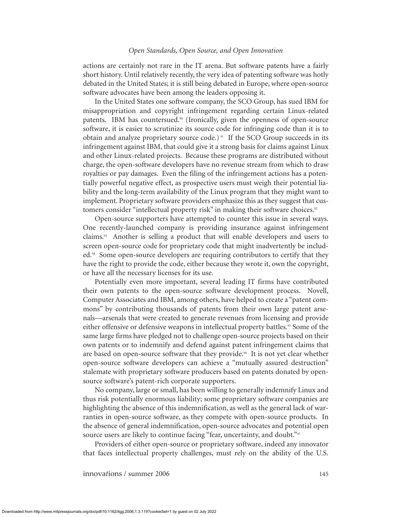actions are certainly not rare in the IT arena. But software patents have a fairly short history. Until relatively recently, the very idea of patenting software was hotly debated in the United States; it is still being debated in Europe, where open-source software advocates have been among the leaders opposing it.

In the United States one software company, the SCO Group, has sued IBM for misappropriation and copyright infringement regarding certain Linux-related patents. IBM has countersued. $90$  (Ironically, given the openness of open-source software, it is easier to scrutinize its source code for infringing code than it is to obtain and analyze proprietary source code.)<sup>91</sup> If the SCO Group succeeds in its infringement against IBM, that could give it a strong basis for claims against Linux and other Linux-related projects. Because these programs are distributed without charge, the open-software developers have no revenue stream from which to draw royalties or pay damages. Even the filing of the infringement actions has a potentially powerful negative effect, as prospective users must weigh their potential liability and the long-term availability of the Linux program that they might want to implement. Proprietary software providers emphasize this as they suggest that customers consider "intellectual property risk" in making their software choices.<sup>92</sup>

Open-source supporters have attempted to counter this issue in several ways. One recently-launched company is providing insurance against infringement claims.<sup>93</sup> Another is selling a product that will enable developers and users to screen open-source code for proprietary code that might inadvertently be included.<sup>94</sup> Some open-source developers are requiring contributors to certify that they have the right to provide the code, either because they wrote it, own the copyright, or have all the necessary licenses for its use.

Potentially even more important, several leading IT firms have contributed their own patents to the open-source software development process. Novell, Computer Associates and IBM, among others, have helped to create a "patent commons" by contributing thousands of patents from their own large patent arsenals—arsenals that were created to generate revenues from licensing and provide either offensive or defensive weapons in intellectual property battles.<sup>95</sup> Some of the same large firms have pledged not to challenge open-source projects based on their own patents or to indemnify and defend against patent infringement claims that are based on open-source software that they provide.<sup>96</sup> It is not yet clear whether open-source software developers can achieve a "mutually assured destruction" stalemate with proprietary software producers based on patents donated by opensource software's patent-rich corporate supporters.

No company, large or small, has been willing to generally indemnify Linux and thus risk potentially enormous liability; some proprietary software companies are highlighting the absence of this indemnification, as well as the general lack of warranties in open-source software, as they compete with open-source products. In the absence of general indemnification, open-source advocates and potential open source users are likely to continue facing "fear, uncertainty, and doubt."<sup>97</sup>

Providers of either open-source or proprietary software, indeed any innovator that faces intellectual property challenges, must rely on the ability of the U.S.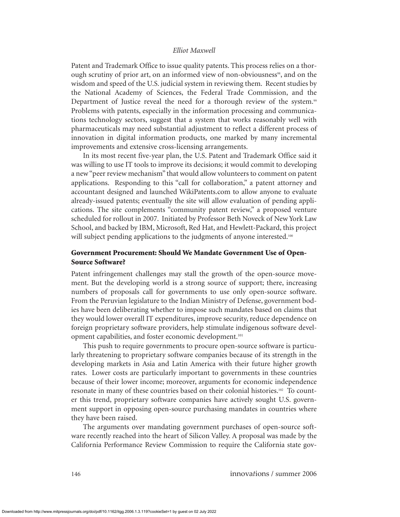Patent and Trademark Office to issue quality patents. This process relies on a thorough scrutiny of prior art, on an informed view of non-obviousness<sup>98</sup>, and on the wisdom and speed of the U.S. judicial system in reviewing them. Recent studies by the National Academy of Sciences, the Federal Trade Commission, and the Department of Justice reveal the need for a thorough review of the system.<sup>99</sup> Problems with patents, especially in the information processing and communications technology sectors, suggest that a system that works reasonably well with pharmaceuticals may need substantial adjustment to reflect a different process of innovation in digital information products, one marked by many incremental improvements and extensive cross-licensing arrangements.

In its most recent five-year plan, the U.S. Patent and Trademark Office said it was willing to use IT tools to improve its decisions; it would commit to developing a new "peer review mechanism" that would allow volunteers to comment on patent applications. Responding to this "call for collaboration," a patent attorney and accountant designed and launched WikiPatents.com to allow anyone to evaluate already-issued patents; eventually the site will allow evaluation of pending applications. The site complements "community patent review," a proposed venture scheduled for rollout in 2007. Initiated by Professor Beth Noveck of New York Law School, and backed by IBM, Microsoft, Red Hat, and Hewlett-Packard, this project will subject pending applications to the judgments of anyone interested.<sup>100</sup>

# **Government Procurement: Should We Mandate Government Use of Open-Source Software?**

Patent infringement challenges may stall the growth of the open-source movement. But the developing world is a strong source of support; there, increasing numbers of proposals call for governments to use only open-source software. From the Peruvian legislature to the Indian Ministry of Defense, government bodies have been deliberating whether to impose such mandates based on claims that they would lower overall IT expenditures, improve security, reduce dependence on foreign proprietary software providers, help stimulate indigenous software development capabilities, and foster economic development.101

This push to require governments to procure open-source software is particularly threatening to proprietary software companies because of its strength in the developing markets in Asia and Latin America with their future higher growth rates. Lower costs are particularly important to governments in these countries because of their lower income; moreover, arguments for economic independence resonate in many of these countries based on their colonial histories.<sup>102</sup> To counter this trend, proprietary software companies have actively sought U.S. government support in opposing open-source purchasing mandates in countries where they have been raised.

The arguments over mandating government purchases of open-source software recently reached into the heart of Silicon Valley. A proposal was made by the California Performance Review Commission to require the California state gov-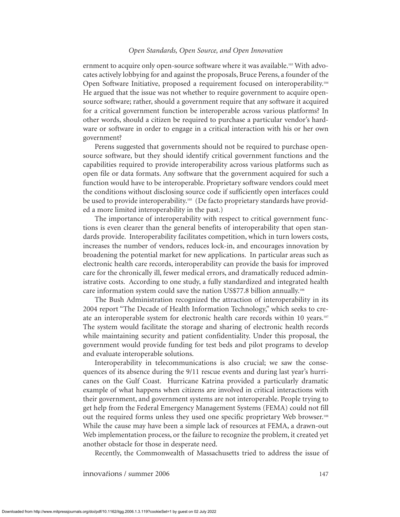ernment to acquire only open-source software where it was available.<sup>103</sup> With advocates actively lobbying for and against the proposals, Bruce Perens, a founder of the Open Software Initiative, proposed a requirement focused on interoperability.<sup>104</sup> He argued that the issue was not whether to require government to acquire opensource software; rather, should a government require that any software it acquired for a critical government function be interoperable across various platforms? In other words, should a citizen be required to purchase a particular vendor's hardware or software in order to engage in a critical interaction with his or her own government?

Perens suggested that governments should not be required to purchase opensource software, but they should identify critical government functions and the capabilities required to provide interoperability across various platforms such as open file or data formats. Any software that the government acquired for such a function would have to be interoperable. Proprietary software vendors could meet the conditions without disclosing source code if sufficiently open interfaces could be used to provide interoperability.<sup>105</sup> (De facto proprietary standards have provided a more limited interoperability in the past.)

The importance of interoperability with respect to critical government functions is even clearer than the general benefits of interoperability that open standards provide. Interoperability facilitates competition, which in turn lowers costs, increases the number of vendors, reduces lock-in, and encourages innovation by broadening the potential market for new applications. In particular areas such as electronic health care records, interoperability can provide the basis for improved care for the chronically ill, fewer medical errors, and dramatically reduced administrative costs. According to one study, a fully standardized and integrated health care information system could save the nation US\$77.8 billion annually.<sup>106</sup>

The Bush Administration recognized the attraction of interoperability in its 2004 report "The Decade of Health Information Technology," which seeks to create an interoperable system for electronic health care records within 10 years.<sup>107</sup> The system would facilitate the storage and sharing of electronic health records while maintaining security and patient confidentiality. Under this proposal, the government would provide funding for test beds and pilot programs to develop and evaluate interoperable solutions.

Interoperability in telecommunications is also crucial; we saw the consequences of its absence during the 9/11 rescue events and during last year's hurricanes on the Gulf Coast. Hurricane Katrina provided a particularly dramatic example of what happens when citizens are involved in critical interactions with their government, and government systems are not interoperable. People trying to get help from the Federal Emergency Management Systems (FEMA) could not fill out the required forms unless they used one specific proprietary Web browser.<sup>108</sup> While the cause may have been a simple lack of resources at FEMA, a drawn-out Web implementation process, or the failure to recognize the problem, it created yet another obstacle for those in desperate need.

Recently, the Commonwealth of Massachusetts tried to address the issue of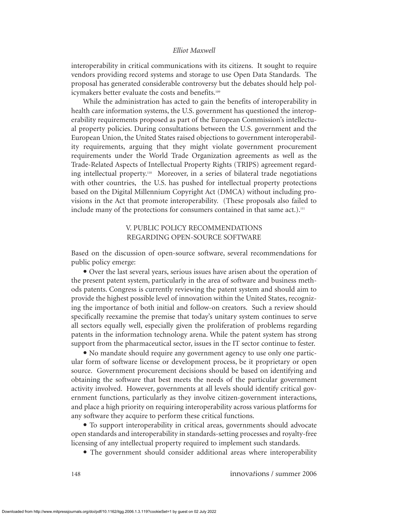interoperability in critical communications with its citizens. It sought to require vendors providing record systems and storage to use Open Data Standards. The proposal has generated considerable controversy but the debates should help policymakers better evaluate the costs and benefits.<sup>109</sup>

While the administration has acted to gain the benefits of interoperability in health care information systems, the U.S. government has questioned the interoperability requirements proposed as part of the European Commission's intellectual property policies. During consultations between the U.S. government and the European Union, the United States raised objections to government interoperability requirements, arguing that they might violate government procurement requirements under the World Trade Organization agreements as well as the Trade-Related Aspects of Intellectual Property Rights (TRIPS) agreement regarding intellectual property.<sup>110</sup> Moreover, in a series of bilateral trade negotiations with other countries, the U.S. has pushed for intellectual property protections based on the Digital Millennium Copyright Act (DMCA) without including provisions in the Act that promote interoperability. (These proposals also failed to include many of the protections for consumers contained in that same act.). $\mathbb{I}^{\mathbb{I}}$ 

# V. PUBLIC POLICY RECOMMENDATIONS REGARDING OPEN-SOURCE SOFTWARE

Based on the discussion of open-source software, several recommendations for public policy emerge:

• Over the last several years, serious issues have arisen about the operation of the present patent system, particularly in the area of software and business methods patents. Congress is currently reviewing the patent system and should aim to provide the highest possible level of innovation within the United States, recognizing the importance of both initial and follow-on creators. Such a review should specifically reexamine the premise that today's unitary system continues to serve all sectors equally well, especially given the proliferation of problems regarding patents in the information technology arena. While the patent system has strong support from the pharmaceutical sector, issues in the IT sector continue to fester.

 $\bullet$  No mandate should require any government agency to use only one particular form of software license or development process, be it proprietary or open source. Government procurement decisions should be based on identifying and obtaining the software that best meets the needs of the particular government activity involved. However, governments at all levels should identify critical government functions, particularly as they involve citizen-government interactions, and place a high priority on requiring interoperability across various platforms for any software they acquire to perform these critical functions.

• To support interoperability in critical areas, governments should advocate open standards and interoperability in standards-setting processes and royalty-free licensing of any intellectual property required to implement such standards.

• The government should consider additional areas where interoperability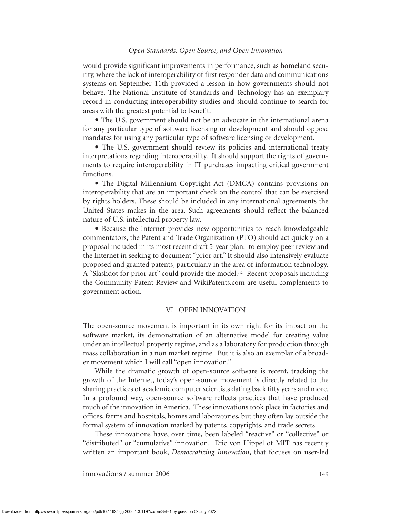would provide significant improvements in performance, such as homeland security, where the lack of interoperability of first responder data and communications systems on September 11th provided a lesson in how governments should not behave. The National Institute of Standards and Technology has an exemplary record in conducting interoperability studies and should continue to search for areas with the greatest potential to benefit.

• The U.S. government should not be an advocate in the international arena for any particular type of software licensing or development and should oppose mandates for using any particular type of software licensing or development.

• The U.S. government should review its policies and international treaty interpretations regarding interoperability. It should support the rights of governments to require interoperability in IT purchases impacting critical government functions.

• The Digital Millennium Copyright Act (DMCA) contains provisions on interoperability that are an important check on the control that can be exercised by rights holders. These should be included in any international agreements the United States makes in the area. Such agreements should reflect the balanced nature of U.S. intellectual property law.

• Because the Internet provides new opportunities to reach knowledgeable commentators, the Patent and Trade Organization (PTO) should act quickly on a proposal included in its most recent draft 5-year plan: to employ peer review and the Internet in seeking to document "prior art." It should also intensively evaluate proposed and granted patents, particularly in the area of information technology. A "Slashdot for prior art" could provide the model.<sup>112</sup> Recent proposals including the Community Patent Review and WikiPatents.com are useful complements to government action.

#### VI. OPEN INNOVATION

The open-source movement is important in its own right for its impact on the software market, its demonstration of an alternative model for creating value under an intellectual property regime, and as a laboratory for production through mass collaboration in a non market regime. But it is also an exemplar of a broader movement which I will call "open innovation."

While the dramatic growth of open-source software is recent, tracking the growth of the Internet, today's open-source movement is directly related to the sharing practices of academic computer scientists dating back fifty years and more. In a profound way, open-source software reflects practices that have produced much of the innovation in America. These innovations took place in factories and offices, farms and hospitals, homes and laboratories, but they often lay outside the formal system of innovation marked by patents, copyrights, and trade secrets.

These innovations have, over time, been labeled "reactive" or "collective" or "distributed" or "cumulative" innovation. Eric von Hippel of MIT has recently written an important book, *Democratizing Innovation*, that focuses on user-led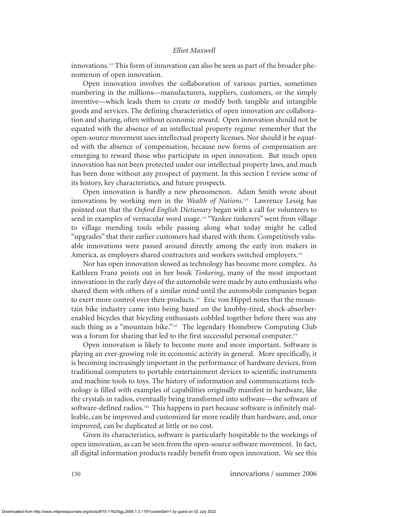innovations.<sup>113</sup> This form of innovation can also be seen as part of the broader phenomenon of open innovation.

Open innovation involves the collaboration of various parties, sometimes numbering in the millions—manufacturers, suppliers, customers, or the simply inventive—which leads them to create or modify both tangible and intangible goods and services. The defining characteristics of open innovation are collaboration and sharing, often without economic reward. Open innovation should not be equated with the absence of an intellectual property regime: remember that the open-source movement uses intellectual property licenses. Nor should it be equated with the absence of compensation, because new forms of compensation are emerging to reward those who participate in open innovation. But much open innovation has not been protected under our intellectual property laws, and much has been done without any prospect of payment. In this section I review some of its history, key characteristics, and future prospects.

Open innovation is hardly a new phenomenon. Adam Smith wrote about innovations by working men in the *Wealth of Nations*. <sup>114</sup> Lawrence Lessig has pointed out that the *Oxford English Dictionary* began with a call for volunteers to send in examples of vernacular word usage.<sup>115</sup> "Yankee tinkerers" went from village to village mending tools while passing along what today might be called "upgrades" that their earlier customers had shared with them. Competitively valuable innovations were passed around directly among the early iron makers in America, as employers shared contractors and workers switched employers.<sup>116</sup>

Nor has open innovation slowed as technology has become more complex. As Kathleen Franz points out in her book *Tinkering*, many of the most important innovations in the early days of the automobile were made by auto enthusiasts who shared them with others of a similar mind until the automobile companies began to exert more control over their products.<sup>117</sup> Eric von Hippel notes that the mountain bike industry came into being based on the knobby-tired, shock-absorberenabled bicycles that bicycling enthusiasts cobbled together before there was any such thing as a "mountain bike."<sup>118</sup> The legendary Homebrew Computing Club was a forum for sharing that led to the first successful personal computer.<sup>119</sup>

Open innovation is likely to become more and more important. Software is playing an ever-growing role in economic activity in general. More specifically, it is becoming increasingly important in the performance of hardware devices, from traditional computers to portable entertainment devices to scientific instruments and machine tools to toys. The history of information and communications technology is filled with examples of capabilities originally manifest in hardware, like the crystals in radios, eventually being transformed into software—the software of software-defined radios.<sup>120</sup> This happens in part because software is infinitely malleable, can be improved and customized far more readily than hardware, and, once improved, can be duplicated at little or no cost.

Given its characteristics, software is particularly hospitable to the workings of open innovation, as can be seen from the open-source software movement. In fact, all digital information products readily benefit from open innovation. We see this

150 innova*t*ions / summer 2006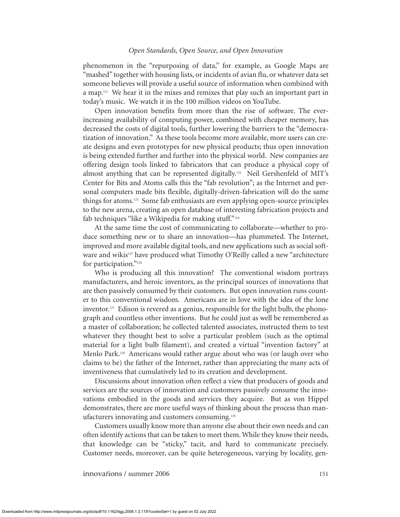phenomenon in the "repurposing of data," for example, as Google Maps are "mashed" together with housing lists, or incidents of avian flu, or whatever data set someone believes will provide a useful source of information when combined with a map.<sup>121</sup> We hear it in the mixes and remixes that play such an important part in today's music. We watch it in the 100 million videos on YouTube.

Open innovation benefits from more than the rise of software. The everincreasing availability of computing power, combined with cheaper memory, has decreased the costs of digital tools, further lowering the barriers to the "democratization of innovation." As these tools become more available, more users can create designs and even prototypes for new physical products; thus open innovation is being extended further and further into the physical world. New companies are offering design tools linked to fabricators that can produce a physical copy of almost anything that can be represented digitally.<sup>122</sup> Neil Gershenfeld of MIT's Center for Bits and Atoms calls this the "fab revolution"; as the Internet and personal computers made bits flexible, digitally-driven-fabrication will do the same things for atoms.<sup>123</sup> Some fab enthusiasts are even applying open-source principles to the new arena, creating an open database of interesting fabrication projects and fab techniques "like a Wikipedia for making stuff."<sup>124</sup>

At the same time the cost of communicating to collaborate—whether to produce something new or to share an innovation—has plummeted. The Internet, improved and more available digital tools, and new applications such as social software and wikis<sup>125</sup> have produced what Timothy O'Reilly called a new "architecture" for participation."<sup>126</sup>

Who is producing all this innovation? The conventional wisdom portrays manufacturers, and heroic inventors, as the principal sources of innovations that are then passively consumed by their customers. But open innovation runs counter to this conventional wisdom. Americans are in love with the idea of the lone inventor.<sup>127</sup> Edison is revered as a genius, responsible for the light bulb, the phonograph and countless other inventions. But he could just as well be remembered as a master of collaboration; he collected talented associates, instructed them to test whatever they thought best to solve a particular problem (such as the optimal material for a light bulb filament), and created a virtual "invention factory" at Menlo Park.<sup>128</sup> Americans would rather argue about who was (or laugh over who claims to be) the father of the Internet, rather than appreciating the many acts of inventiveness that cumulatively led to its creation and development.

Discussions about innovation often reflect a view that producers of goods and services are the sources of innovation and customers passively consume the innovations embodied in the goods and services they acquire. But as von Hippel demonstrates, there are more useful ways of thinking about the process than manufacturers innovating and customers consuming.<sup>129</sup>

Customers usually know more than anyone else about their own needs and can often identify actions that can be taken to meet them. While they know their needs, that knowledge can be "sticky," tacit, and hard to communicate precisely. Customer needs, moreover, can be quite heterogeneous, varying by locality, gen-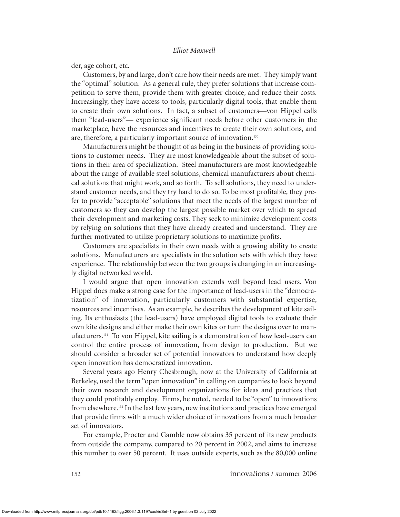der, age cohort, etc.

Customers, by and large, don't care how their needs are met. They simply want the "optimal" solution. As a general rule, they prefer solutions that increase competition to serve them, provide them with greater choice, and reduce their costs. Increasingly, they have access to tools, particularly digital tools, that enable them to create their own solutions. In fact, a subset of customers—von Hippel calls them "lead-users"— experience significant needs before other customers in the marketplace, have the resources and incentives to create their own solutions, and are, therefore, a particularly important source of innovation.<sup>130</sup>

Manufacturers might be thought of as being in the business of providing solutions to customer needs. They are most knowledgeable about the subset of solutions in their area of specialization. Steel manufacturers are most knowledgeable about the range of available steel solutions, chemical manufacturers about chemical solutions that might work, and so forth. To sell solutions, they need to understand customer needs, and they try hard to do so. To be most profitable, they prefer to provide "acceptable" solutions that meet the needs of the largest number of customers so they can develop the largest possible market over which to spread their development and marketing costs. They seek to minimize development costs by relying on solutions that they have already created and understand. They are further motivated to utilize proprietary solutions to maximize profits.

Customers are specialists in their own needs with a growing ability to create solutions. Manufacturers are specialists in the solution sets with which they have experience. The relationship between the two groups is changing in an increasingly digital networked world.

I would argue that open innovation extends well beyond lead users. Von Hippel does make a strong case for the importance of lead-users in the "democratization" of innovation, particularly customers with substantial expertise, resources and incentives. As an example, he describes the development of kite sailing. Its enthusiasts (the lead-users) have employed digital tools to evaluate their own kite designs and either make their own kites or turn the designs over to manufacturers.<sup>131</sup> To von Hippel, kite sailing is a demonstration of how lead-users can control the entire process of innovation, from design to production. But we should consider a broader set of potential innovators to understand how deeply open innovation has democratized innovation.

Several years ago Henry Chesbrough, now at the University of California at Berkeley, used the term "open innovation" in calling on companies to look beyond their own research and development organizations for ideas and practices that they could profitably employ. Firms, he noted, needed to be "open" to innovations from elsewhere.<sup>132</sup> In the last few years, new institutions and practices have emerged that provide firms with a much wider choice of innovations from a much broader set of innovators.

For example, Procter and Gamble now obtains 35 percent of its new products from outside the company, compared to 20 percent in 2002, and aims to increase this number to over 50 percent. It uses outside experts, such as the 80,000 online

152 innova*t*ions / summer 2006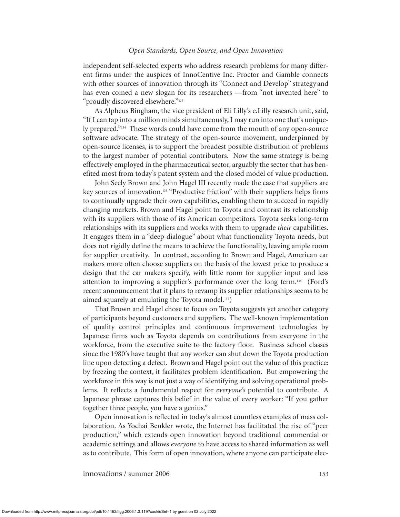independent self-selected experts who address research problems for many different firms under the auspices of InnoCentive Inc. Proctor and Gamble connects with other sources of innovation through its "Connect and Develop" strategy and has even coined a new slogan for its researchers —from "not invented here" to "proudly discovered elsewhere."<sup>133</sup>

As Alpheus Bingham, the vice president of Eli Lilly's e.Lilly research unit, said, "If I can tap into a million minds simultaneously, I may run into one that's uniquely prepared."<sup>134</sup> These words could have come from the mouth of any open-source software advocate. The strategy of the open-source movement, underpinned by open-source licenses, is to support the broadest possible distribution of problems to the largest number of potential contributors. Now the same strategy is being effectively employed in the pharmaceutical sector, arguably the sector that has benefited most from today's patent system and the closed model of value production.

John Seely Brown and John Hagel III recently made the case that suppliers are key sources of innovation.<sup>135</sup> "Productive friction" with their suppliers helps firms to continually upgrade their own capabilities, enabling them to succeed in rapidly changing markets. Brown and Hagel point to Toyota and contrast its relationship with its suppliers with those of its American competitors. Toyota seeks long-term relationships with its suppliers and works with them to upgrade *their* capabilities. It engages them in a "deep dialogue" about what functionality Toyota needs, but does not rigidly define the means to achieve the functionality, leaving ample room for supplier creativity. In contrast, according to Brown and Hagel, American car makers more often choose suppliers on the basis of the lowest price to produce a design that the car makers specify, with little room for supplier input and less attention to improving a supplier's performance over the long term.<sup>136</sup> (Ford's recent announcement that it plans to revamp its supplier relationships seems to be aimed squarely at emulating the Toyota model.<sup>137</sup>)

That Brown and Hagel chose to focus on Toyota suggests yet another category of participants beyond customers and suppliers. The well-known implementation of quality control principles and continuous improvement technologies by Japanese firms such as Toyota depends on contributions from everyone in the workforce, from the executive suite to the factory floor. Business school classes since the 1980's have taught that any worker can shut down the Toyota production line upon detecting a defect. Brown and Hagel point out the value of this practice: by freezing the context, it facilitates problem identification. But empowering the workforce in this way is not just a way of identifying and solving operational problems. It reflects a fundamental respect for *everyone's* potential to contribute. A Japanese phrase captures this belief in the value of every worker: "If you gather together three people, you have a genius."

Open innovation is reflected in today's almost countless examples of mass collaboration. As Yochai Benkler wrote, the Internet has facilitated the rise of "peer production," which extends open innovation beyond traditional commercial or academic settings and allows *everyone* to have access to shared information as well as to contribute. This form of open innovation, where anyone can participate elec-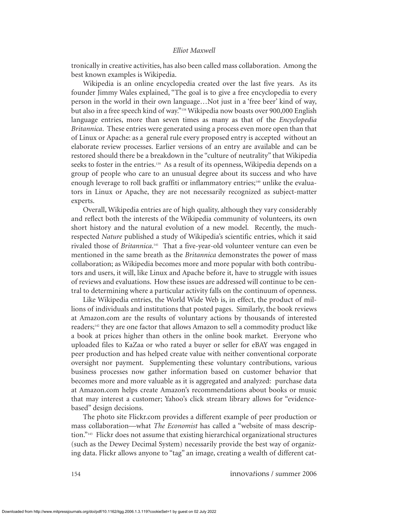tronically in creative activities, has also been called mass collaboration. Among the best known examples is Wikipedia.

Wikipedia is an online encyclopedia created over the last five years. As its founder Jimmy Wales explained, "The goal is to give a free encyclopedia to every person in the world in their own language…Not just in a 'free beer' kind of way, but also in a free speech kind of way."<sup>138</sup> Wikipedia now boasts over 900,000 English language entries, more than seven times as many as that of the *Encyclopedia Britannica*. These entries were generated using a process even more open than that of Linux or Apache: as a general rule every proposed entry is accepted without an elaborate review processes. Earlier versions of an entry are available and can be restored should there be a breakdown in the "culture of neutrality" that Wikipedia seeks to foster in the entries.<sup>139</sup> As a result of its openness, Wikipedia depends on a group of people who care to an unusual degree about its success and who have enough leverage to roll back graffiti or inflammatory entries;<sup>140</sup> unlike the evaluators in Linux or Apache, they are not necessarily recognized as subject-matter experts.

Overall, Wikipedia entries are of high quality, although they vary considerably and reflect both the interests of the Wikipedia community of volunteers, its own short history and the natural evolution of a new model. Recently, the muchrespected *Nature* published a study of Wikipedia's scientific entries, which it said rivaled those of *Britannica*. <sup>141</sup> That a five-year-old volunteer venture can even be mentioned in the same breath as the *Britannica* demonstrates the power of mass collaboration; as Wikipedia becomes more and more popular with both contributors and users, it will, like Linux and Apache before it, have to struggle with issues of reviews and evaluations. How these issues are addressed will continue to be central to determining where a particular activity falls on the continuum of openness.

Like Wikipedia entries, the World Wide Web is, in effect, the product of millions of individuals and institutions that posted pages. Similarly, the book reviews at Amazon.com are the results of voluntary actions by thousands of interested readers;<sup>142</sup> they are one factor that allows Amazon to sell a commodity product like a book at prices higher than others in the online book market. Everyone who uploaded files to KaZaa or who rated a buyer or seller for eBAY was engaged in peer production and has helped create value with neither conventional corporate oversight nor payment. Supplementing these voluntary contributions, various business processes now gather information based on customer behavior that becomes more and more valuable as it is aggregated and analyzed: purchase data at Amazon.com helps create Amazon's recommendations about books or music that may interest a customer; Yahoo's click stream library allows for "evidencebased" design decisions.

The photo site Flickr.com provides a different example of peer production or mass collaboration—what *The Economist* has called a "website of mass description."<sup>143</sup> Flickr does not assume that existing hierarchical organizational structures (such as the Dewey Decimal System) necessarily provide the best way of organizing data. Flickr allows anyone to "tag" an image, creating a wealth of different cat-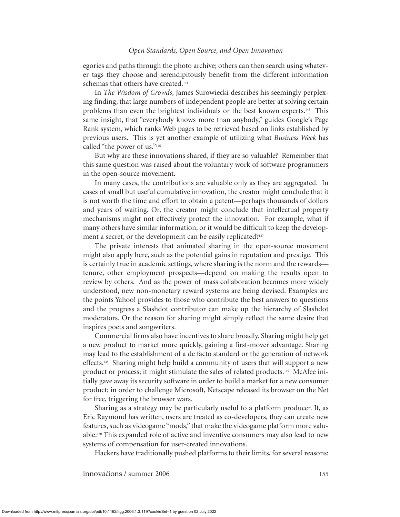egories and paths through the photo archive; others can then search using whatever tags they choose and serendipitously benefit from the different information schemas that others have created.<sup>144</sup>

In *The Wisdom of Crowds*, James Surowiecki describes his seemingly perplexing finding, that large numbers of independent people are better at solving certain problems than even the brightest individuals or the best known experts.<sup>145</sup> This same insight, that "everybody knows more than anybody," guides Google's Page Rank system, which ranks Web pages to be retrieved based on links established by previous users. This is yet another example of utilizing what *Business Week* has called "the power of us."<sup>146</sup>

But why are these innovations shared, if they are so valuable? Remember that this same question was raised about the voluntary work of software programmers in the open-source movement.

In many cases, the contributions are valuable only as they are aggregated. In cases of small but useful cumulative innovation, the creator might conclude that it is not worth the time and effort to obtain a patent—perhaps thousands of dollars and years of waiting. Or, the creator might conclude that intellectual property mechanisms might not effectively protect the innovation. For example, what if many others have similar information, or it would be difficult to keep the development a secret, or the development can be easily replicated?<sup>147</sup>

The private interests that animated sharing in the open-source movement might also apply here, such as the potential gains in reputation and prestige. This is certainly true in academic settings, where sharing is the norm and the rewards tenure, other employment prospects—depend on making the results open to review by others. And as the power of mass collaboration becomes more widely understood, new non-monetary reward systems are being devised. Examples are the points Yahoo! provides to those who contribute the best answers to questions and the progress a Slashdot contributor can make up the hierarchy of Slashdot moderators. Or the reason for sharing might simply reflect the same desire that inspires poets and songwriters.

Commercial firms also have incentives to share broadly. Sharing might help get a new product to market more quickly, gaining a first-mover advantage. Sharing may lead to the establishment of a de facto standard or the generation of network effects.<sup>148</sup> Sharing might help build a community of users that will support a new product or process; it might stimulate the sales of related products.<sup>149</sup> McAfee initially gave away its security software in order to build a market for a new consumer product; in order to challenge Microsoft, Netscape released its browser on the Net for free, triggering the browser wars.

Sharing as a strategy may be particularly useful to a platform producer. If, as Eric Raymond has written, users are treated as co-developers, they can create new features, such as videogame "mods," that make the videogame platform more valuable.<sup>150</sup> This expanded role of active and inventive consumers may also lead to new systems of compensation for user-created innovations.

Hackers have traditionally pushed platforms to their limits, for several reasons: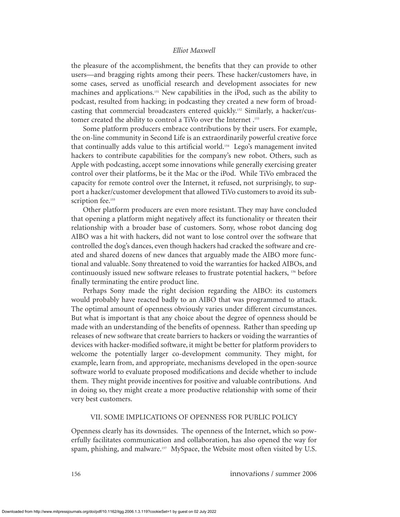the pleasure of the accomplishment, the benefits that they can provide to other users—and bragging rights among their peers. These hacker/customers have, in some cases, served as unofficial research and development associates for new machines and applications.<sup>151</sup> New capabilities in the iPod, such as the ability to podcast, resulted from hacking; in podcasting they created a new form of broadcasting that commercial broadcasters entered quickly.<sup>152</sup> Similarly, a hacker/customer created the ability to control a TiVo over the Internet .<sup>153</sup>

Some platform producers embrace contributions by their users. For example, the on-line community in Second Life is an extraordinarily powerful creative force that continually adds value to this artificial world.<sup>154</sup> Lego's management invited hackers to contribute capabilities for the company's new robot. Others, such as Apple with podcasting, accept some innovations while generally exercising greater control over their platforms, be it the Mac or the iPod. While TiVo embraced the capacity for remote control over the Internet, it refused, not surprisingly, to support a hacker/customer development that allowed TiVo customers to avoid its subscription fee.<sup>155</sup>

Other platform producers are even more resistant. They may have concluded that opening a platform might negatively affect its functionality or threaten their relationship with a broader base of customers. Sony, whose robot dancing dog AIBO was a hit with hackers, did not want to lose control over the software that controlled the dog's dances, even though hackers had cracked the software and created and shared dozens of new dances that arguably made the AIBO more functional and valuable. Sony threatened to void the warranties for hacked AIBOs, and continuously issued new software releases to frustrate potential hackers, <sup>156</sup> before finally terminating the entire product line.

Perhaps Sony made the right decision regarding the AIBO: its customers would probably have reacted badly to an AIBO that was programmed to attack. The optimal amount of openness obviously varies under different circumstances. But what is important is that any choice about the degree of openness should be made with an understanding of the benefits of openness. Rather than speeding up releases of new software that create barriers to hackers or voiding the warranties of devices with hacker-modified software, it might be better for platform providers to welcome the potentially larger co-development community. They might, for example, learn from, and appropriate, mechanisms developed in the open-source software world to evaluate proposed modifications and decide whether to include them. They might provide incentives for positive and valuable contributions. And in doing so, they might create a more productive relationship with some of their very best customers.

## VII. SOME IMPLICATIONS OF OPENNESS FOR PUBLIC POLICY

Openness clearly has its downsides. The openness of the Internet, which so powerfully facilitates communication and collaboration, has also opened the way for spam, phishing, and malware.<sup>157</sup> MySpace, the Website most often visited by U.S.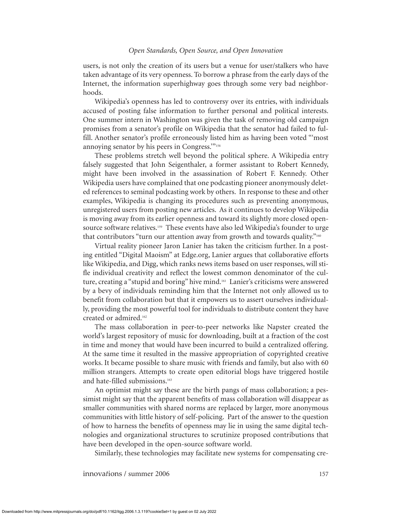users, is not only the creation of its users but a venue for user/stalkers who have taken advantage of its very openness. To borrow a phrase from the early days of the Internet, the information superhighway goes through some very bad neighborhoods.

Wikipedia's openness has led to controversy over its entries, with individuals accused of posting false information to further personal and political interests. One summer intern in Washington was given the task of removing old campaign promises from a senator's profile on Wikipedia that the senator had failed to fulfill. Another senator's profile erroneously listed him as having been voted "'most annoying senator by his peers in Congress.'"<sup>158</sup>

These problems stretch well beyond the political sphere. A Wikipedia entry falsely suggested that John Seigenthaler, a former assistant to Robert Kennedy, might have been involved in the assassination of Robert F. Kennedy. Other Wikipedia users have complained that one podcasting pioneer anonymously deleted references to seminal podcasting work by others. In response to these and other examples, Wikipedia is changing its procedures such as preventing anonymous, unregistered users from posting new articles. As it continues to develop Wikipedia is moving away from its earlier openness and toward its slightly more closed opensource software relatives.<sup>159</sup> These events have also led Wikipedia's founder to urge that contributors "turn our attention away from growth and towards quality."<sup>160</sup>

Virtual reality pioneer Jaron Lanier has taken the criticism further. In a posting entitled "Digital Maoism" at Edge.org, Lanier argues that collaborative efforts like Wikipedia, and Digg, which ranks news items based on user responses, will stifle individual creativity and reflect the lowest common denominator of the culture, creating a "stupid and boring" hive mind.<sup>161</sup> Lanier's criticisms were answered by a bevy of individuals reminding him that the Internet not only allowed us to benefit from collaboration but that it empowers us to assert ourselves individually, providing the most powerful tool for individuals to distribute content they have created or admired.<sup>162</sup>

The mass collaboration in peer-to-peer networks like Napster created the world's largest repository of music for downloading, built at a fraction of the cost in time and money that would have been incurred to build a centralized offering. At the same time it resulted in the massive appropriation of copyrighted creative works. It became possible to share music with friends and family, but also with 60 million strangers. Attempts to create open editorial blogs have triggered hostile and hate-filled submissions.<sup>163</sup>

An optimist might say these are the birth pangs of mass collaboration; a pessimist might say that the apparent benefits of mass collaboration will disappear as smaller communities with shared norms are replaced by larger, more anonymous communities with little history of self-policing. Part of the answer to the question of how to harness the benefits of openness may lie in using the same digital technologies and organizational structures to scrutinize proposed contributions that have been developed in the open-source software world.

Similarly, these technologies may facilitate new systems for compensating cre-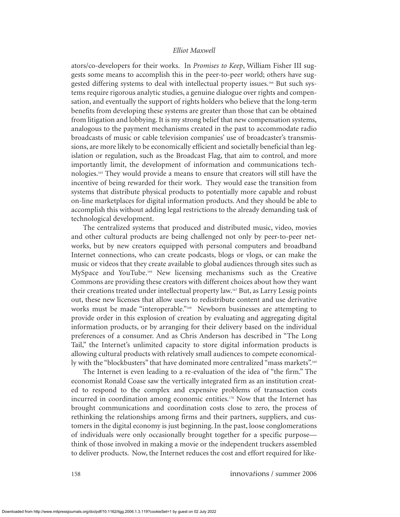ators/co-developers for their works. In *Promises to Keep*, William Fisher III suggests some means to accomplish this in the peer-to-peer world; others have suggested differing systems to deal with intellectual property issues.<sup>164</sup> But such systems require rigorous analytic studies, a genuine dialogue over rights and compensation, and eventually the support of rights holders who believe that the long-term benefits from developing these systems are greater than those that can be obtained from litigation and lobbying. It is my strong belief that new compensation systems, analogous to the payment mechanisms created in the past to accommodate radio broadcasts of music or cable television companies' use of broadcaster's transmissions, are more likely to be economically efficient and societally beneficial than legislation or regulation, such as the Broadcast Flag, that aim to control, and more importantly limit, the development of information and communications technologies.<sup>165</sup> They would provide a means to ensure that creators will still have the incentive of being rewarded for their work. They would ease the transition from systems that distribute physical products to potentially more capable and robust on-line marketplaces for digital information products. And they should be able to accomplish this without adding legal restrictions to the already demanding task of technological development.

The centralized systems that produced and distributed music, video, movies and other cultural products are being challenged not only by peer-to-peer networks, but by new creators equipped with personal computers and broadband Internet connections, who can create podcasts, blogs or vlogs, or can make the music or videos that they create available to global audiences through sites such as MySpace and YouTube.<sup>166</sup> New licensing mechanisms such as the Creative Commons are providing these creators with different choices about how they want their creations treated under intellectual property law.<sup>167</sup> But, as Larry Lessig points out, these new licenses that allow users to redistribute content and use derivative works must be made "interoperable."<sup>168</sup> Newborn businesses are attempting to provide order in this explosion of creation by evaluating and aggregating digital information products, or by arranging for their delivery based on the individual preferences of a consumer. And as Chris Anderson has described in "The Long Tail," the Internet's unlimited capacity to store digital information products is allowing cultural products with relatively small audiences to compete economically with the "blockbusters" that have dominated more centralized "mass markets".<sup>169</sup>

The Internet is even leading to a re-evaluation of the idea of "the firm." The economist Ronald Coase saw the vertically integrated firm as an institution created to respond to the complex and expensive problems of transaction costs incurred in coordination among economic entities. $170$  Now that the Internet has brought communications and coordination costs close to zero, the process of rethinking the relationships among firms and their partners, suppliers, and customers in the digital economy is just beginning. In the past, loose conglomerations of individuals were only occasionally brought together for a specific purpose think of those involved in making a movie or the independent truckers assembled to deliver products. Now, the Internet reduces the cost and effort required for like-

158 innova*t*ions / summer 2006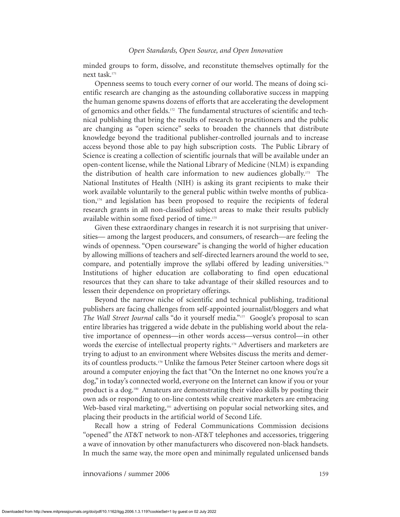minded groups to form, dissolve, and reconstitute themselves optimally for the next task.<sup>171</sup>

Openness seems to touch every corner of our world. The means of doing scientific research are changing as the astounding collaborative success in mapping the human genome spawns dozens of efforts that are accelerating the development of genomics and other fields.<sup>172</sup> The fundamental structures of scientific and technical publishing that bring the results of research to practitioners and the public are changing as "open science" seeks to broaden the channels that distribute knowledge beyond the traditional publisher-controlled journals and to increase access beyond those able to pay high subscription costs. The Public Library of Science is creating a collection of scientific journals that will be available under an open-content license, while the National Library of Medicine (NLM) is expanding the distribution of health care information to new audiences globally.<sup>173</sup> The National Institutes of Health (NIH) is asking its grant recipients to make their work available voluntarily to the general public within twelve months of publication,<sup>174</sup> and legislation has been proposed to require the recipients of federal research grants in all non-classified subject areas to make their results publicly available within some fixed period of time.<sup>175</sup>

Given these extraordinary changes in research it is not surprising that universities— among the largest producers, and consumers, of research—are feeling the winds of openness. "Open courseware" is changing the world of higher education by allowing millions of teachers and self-directed learners around the world to see, compare, and potentially improve the syllabi offered by leading universities.<sup>176</sup> Institutions of higher education are collaborating to find open educational resources that they can share to take advantage of their skilled resources and to lessen their dependence on proprietary offerings.

Beyond the narrow niche of scientific and technical publishing, traditional publishers are facing challenges from self-appointed journalist/bloggers and what *The Wall Street Journal* calls "do it yourself media."<sup>177</sup> Google's proposal to scan entire libraries has triggered a wide debate in the publishing world about the relative importance of openness—in other words access—versus control—in other words the exercise of intellectual property rights.<sup>178</sup> Advertisers and marketers are trying to adjust to an environment where Websites discuss the merits and demerits of countless products.<sup>179</sup> Unlike the famous Peter Steiner cartoon where dogs sit around a computer enjoying the fact that "On the Internet no one knows you're a dog," in today's connected world, everyone on the Internet can know if you or your product is a dog.<sup>180</sup> Amateurs are demonstrating their video skills by posting their own ads or responding to on-line contests while creative marketers are embracing Web-based viral marketing,<sup>181</sup> advertising on popular social networking sites, and placing their products in the artificial world of Second Life.

Recall how a string of Federal Communications Commission decisions "opened" the AT&T network to non-AT&T telephones and accessories, triggering a wave of innovation by other manufacturers who discovered non-black handsets. In much the same way, the more open and minimally regulated unlicensed bands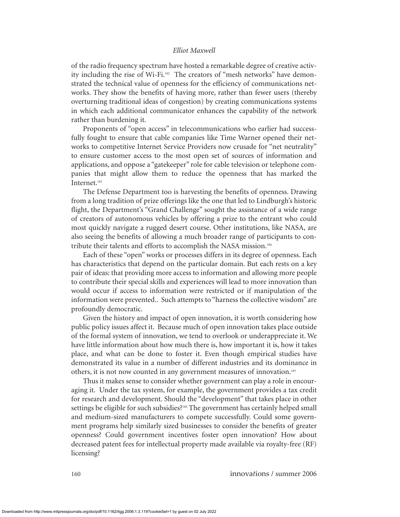of the radio frequency spectrum have hosted a remarkable degree of creative activity including the rise of Wi-Fi. $182$  The creators of "mesh networks" have demonstrated the technical value of openness for the efficiency of communications networks. They show the benefits of having more, rather than fewer users (thereby overturning traditional ideas of congestion) by creating communications systems in which each additional communicator enhances the capability of the network rather than burdening it.

Proponents of "open access" in telecommunications who earlier had successfully fought to ensure that cable companies like Time Warner opened their networks to competitive Internet Service Providers now crusade for "net neutrality" to ensure customer access to the most open set of sources of information and applications, and oppose a "gatekeeper" role for cable television or telephone companies that might allow them to reduce the openness that has marked the Internet.<sup>183</sup>

The Defense Department too is harvesting the benefits of openness. Drawing from a long tradition of prize offerings like the one that led to Lindburgh's historic flight, the Department's "Grand Challenge" sought the assistance of a wide range of creators of autonomous vehicles by offering a prize to the entrant who could most quickly navigate a rugged desert course. Other institutions, like NASA, are also seeing the benefits of allowing a much broader range of participants to contribute their talents and efforts to accomplish the NASA mission.<sup>184</sup>

Each of these "open" works or processes differs in its degree of openness. Each has characteristics that depend on the particular domain. But each rests on a key pair of ideas: that providing more access to information and allowing more people to contribute their special skills and experiences will lead to more innovation than would occur if access to information were restricted or if manipulation of the information were prevented.. Such attempts to "harness the collective wisdom" are profoundly democratic.

Given the history and impact of open innovation, it is worth considering how public policy issues affect it. Because much of open innovation takes place outside of the formal system of innovation, we tend to overlook or underappreciate it. We have little information about how much there is, how important it is, how it takes place, and what can be done to foster it. Even though empirical studies have demonstrated its value in a number of different industries and its dominance in others, it is not now counted in any government measures of innovation.<sup>185</sup>

Thus it makes sense to consider whether government can play a role in encouraging it. Under the tax system, for example, the government provides a tax credit for research and development. Should the "development" that takes place in other settings be eligible for such subsidies?<sup>186</sup> The government has certainly helped small and medium-sized manufacturers to compete successfully. Could some government programs help similarly sized businesses to consider the benefits of greater openness? Could government incentives foster open innovation? How about decreased patent fees for intellectual property made available via royalty-free (RF) licensing?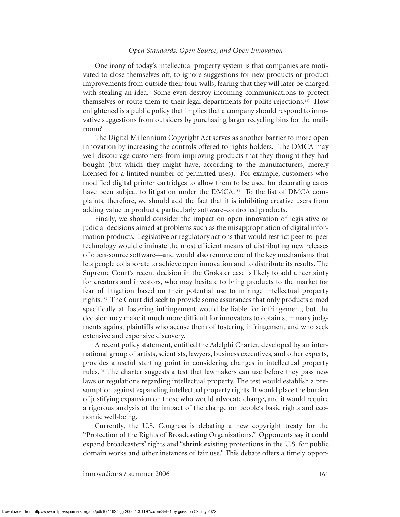One irony of today's intellectual property system is that companies are motivated to close themselves off, to ignore suggestions for new products or product improvements from outside their four walls, fearing that they will later be charged with stealing an idea. Some even destroy incoming communications to protect themselves or route them to their legal departments for polite rejections.<sup>187</sup> How enlightened is a public policy that implies that a company should respond to innovative suggestions from outsiders by purchasing larger recycling bins for the mailroom?

The Digital Millennium Copyright Act serves as another barrier to more open innovation by increasing the controls offered to rights holders. The DMCA may well discourage customers from improving products that they thought they had bought (but which they might have, according to the manufacturers, merely licensed for a limited number of permitted uses). For example, customers who modified digital printer cartridges to allow them to be used for decorating cakes have been subject to litigation under the DMCA.<sup>188</sup> To the list of DMCA complaints, therefore, we should add the fact that it is inhibiting creative users from adding value to products, particularly software-controlled products.

Finally, we should consider the impact on open innovation of legislative or judicial decisions aimed at problems such as the misappropriation of digital information products. Legislative or regulatory actions that would restrict peer-to-peer technology would eliminate the most efficient means of distributing new releases of open-source software—and would also remove one of the key mechanisms that lets people collaborate to achieve open innovation and to distribute its results. The Supreme Court's recent decision in the Grokster case is likely to add uncertainty for creators and investors, who may hesitate to bring products to the market for fear of litigation based on their potential use to infringe intellectual property rights.<sup>189</sup> The Court did seek to provide some assurances that only products aimed specifically at fostering infringement would be liable for infringement, but the decision may make it much more difficult for innovators to obtain summary judgments against plaintiffs who accuse them of fostering infringement and who seek extensive and expensive discovery.

A recent policy statement, entitled the Adelphi Charter, developed by an international group of artists, scientists, lawyers, business executives, and other experts, provides a useful starting point in considering changes in intellectual property rules.<sup>190</sup> The charter suggests a test that lawmakers can use before they pass new laws or regulations regarding intellectual property. The test would establish a presumption against expanding intellectual property rights. It would place the burden of justifying expansion on those who would advocate change, and it would require a rigorous analysis of the impact of the change on people's basic rights and economic well-being.

Currently, the U.S. Congress is debating a new copyright treaty for the "Protection of the Rights of Broadcasting Organizations." Opponents say it could expand broadcasters' rights and "shrink existing protections in the U.S. for public domain works and other instances of fair use." This debate offers a timely oppor-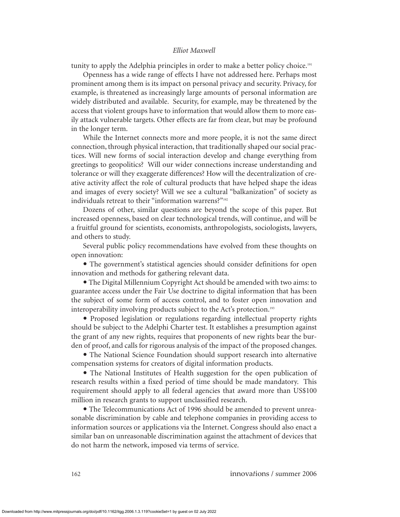tunity to apply the Adelphia principles in order to make a better policy choice.<sup>191</sup>

Openness has a wide range of effects I have not addressed here. Perhaps most prominent among them is its impact on personal privacy and security. Privacy, for example, is threatened as increasingly large amounts of personal information are widely distributed and available. Security, for example, may be threatened by the access that violent groups have to information that would allow them to more easily attack vulnerable targets. Other effects are far from clear, but may be profound in the longer term.

While the Internet connects more and more people, it is not the same direct connection, through physical interaction, that traditionally shaped our social practices. Will new forms of social interaction develop and change everything from greetings to geopolitics? Will our wider connections increase understanding and tolerance or will they exaggerate differences? How will the decentralization of creative activity affect the role of cultural products that have helped shape the ideas and images of every society? Will we see a cultural "balkanization" of society as individuals retreat to their "information warrens?"<sup>192</sup>

Dozens of other, similar questions are beyond the scope of this paper. But increased openness, based on clear technological trends, will continue, and will be a fruitful ground for scientists, economists, anthropologists, sociologists, lawyers, and others to study.

Several public policy recommendations have evolved from these thoughts on open innovation:

• The government's statistical agencies should consider definitions for open innovation and methods for gathering relevant data.

• The Digital Millennium Copyright Act should be amended with two aims: to guarantee access under the Fair Use doctrine to digital information that has been the subject of some form of access control, and to foster open innovation and interoperability involving products subject to the Act's protection.<sup>193</sup>

• Proposed legislation or regulations regarding intellectual property rights should be subject to the Adelphi Charter test. It establishes a presumption against the grant of any new rights, requires that proponents of new rights bear the burden of proof, and calls for rigorous analysis of the impact of the proposed changes.

• The National Science Foundation should support research into alternative compensation systems for creators of digital information products.

• The National Institutes of Health suggestion for the open publication of research results within a fixed period of time should be made mandatory. This requirement should apply to all federal agencies that award more than US\$100 million in research grants to support unclassified research.

• The Telecommunications Act of 1996 should be amended to prevent unreasonable discrimination by cable and telephone companies in providing access to information sources or applications via the Internet. Congress should also enact a similar ban on unreasonable discrimination against the attachment of devices that do not harm the network, imposed via terms of service.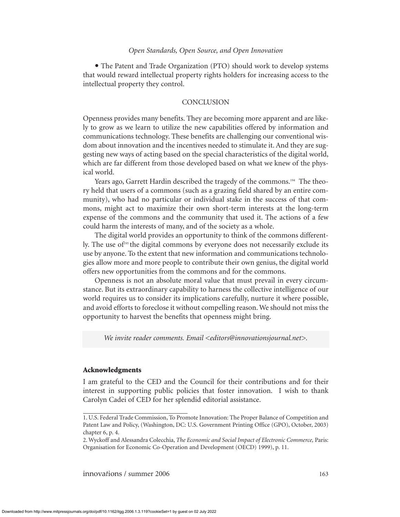• The Patent and Trade Organization (PTO) should work to develop systems that would reward intellectual property rights holders for increasing access to the intellectual property they control.

# **CONCLUSION**

Openness provides many benefits. They are becoming more apparent and are likely to grow as we learn to utilize the new capabilities offered by information and communications technology. These benefits are challenging our conventional wisdom about innovation and the incentives needed to stimulate it. And they are suggesting new ways of acting based on the special characteristics of the digital world, which are far different from those developed based on what we knew of the physical world.

Years ago, Garrett Hardin described the tragedy of the commons.<sup>194</sup> The theory held that users of a commons (such as a grazing field shared by an entire community), who had no particular or individual stake in the success of that commons, might act to maximize their own short-term interests at the long-term expense of the commons and the community that used it. The actions of a few could harm the interests of many, and of the society as a whole.

The digital world provides an opportunity to think of the commons differently. The use of $195$  the digital commons by everyone does not necessarily exclude its use by anyone. To the extent that new information and communications technologies allow more and more people to contribute their own genius, the digital world offers new opportunities from the commons and for the commons.

Openness is not an absolute moral value that must prevail in every circumstance. But its extraordinary capability to harness the collective intelligence of our world requires us to consider its implications carefully, nurture it where possible, and avoid efforts to foreclose it without compelling reason. We should not miss the opportunity to harvest the benefits that openness might bring.

*We invite reader comments. Email <editors@innovationsjournal.net>.*

#### **Acknowledgments**

I am grateful to the CED and the Council for their contributions and for their interest in supporting public policies that foster innovation. I wish to thank Carolyn Cadei of CED for her splendid editorial assistance.

<sup>1.</sup> U.S. Federal Trade Commission, To Promote Innovation: The Proper Balance of Competition and Patent Law and Policy, (Washington, DC: U.S. Government Printing Office (GPO), October, 2003) chapter 6, p. 4.

<sup>2.</sup> Wyckoff and Alessandra Colecchia, *The Economic and Social Impact of Electronic Commerce,* Paris: Organisation for Economic Co-Operation and Development (OECD) 1999), p. 11.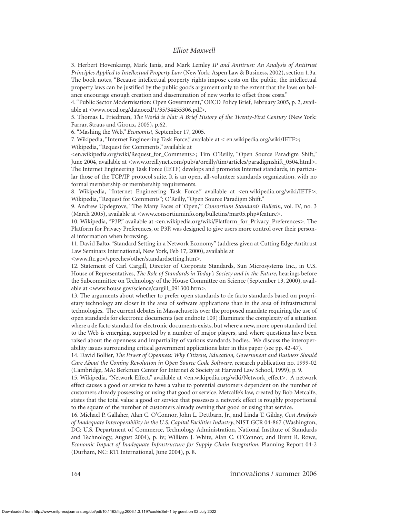3. Herbert Hovenkamp, Mark Janis, and Mark Lemley *IP and Antitrust: An Analysis of Antitrust Principles Applied to Intellectual Property Law* (New York: Aspen Law & Business, 2002), section 1.3a. The book notes, "Because intellectual property rights impose costs on the public, the intellectual property laws can be justified by the public goods argument only to the extent that the laws on balance encourage enough creation and dissemination of new works to offset those costs."

4. "Public Sector Modernisation: Open Government," OECD Policy Brief, February 2005, p. 2, available at <www.oecd.org/dataoecd/1/35/34455306.pdf>.

5. Thomas L. Friedman, *The World is Flat: A Brief History of the Twenty-First Century* (New York: Farrar, Straus and Giroux, 2005), p.62.

6. "Mashing the Web," *Economist,* September 17, 2005.

7. Wikipedia, "Internet Engineering Task Force," available at < en.wikipedia.org/wiki/IETF>; Wikipedia, "Request for Comments," available at

<en.wikipedia.org/wiki/Request\_for\_Comments>; Tim O'Reilly, "Open Source Paradigm Shift," June 2004, available at <www.oreillynet.com/pub/a/oreilly/tim/articles/paradigmshift\_0504.html>. The Internet Engineering Task Force (IETF) develops and promotes Internet standards, in particular those of the TCP/IP protocol suite. It is an open, all-volunteer standards organization, with no formal membership or membership requirements.

8. Wikipedia, "Internet Engineering Task Force," available at <en.wikipedia.org/wiki/IETF>; Wikipedia, "Request for Comments"; O'Reilly, "Open Source Paradigm Shift."

9. Andrew Updegrove, "The Many Faces of 'Open,'" *Consortium Standards Bulletin*, vol. IV, no. 3 (March 2005), available at <www.consortiuminfo.org/bulletins/mar05.php#feature>.

10. Wikipedia, "P3P," available at <en.wikipedia.org/wiki/Platform\_for\_Privacy\_Preferences>. The Platform for Privacy Preferences, or P3P, was designed to give users more control over their personal information when browsing.

11. David Balto, "Standard Setting in a Network Economy" (address given at Cutting Edge Antitrust Law Seminars International, New York, Feb 17, 2000), available at

<www.ftc.gov/speeches/other/standardsetting.htm>.

12. Statement of Carl Cargill, Director of Corporate Standards, Sun Microsystems Inc., in U.S. House of Representatives, *The Role of Standards in Today's Society and in the Future*, hearings before the Subcommittee on Technology of the House Committee on Science (September 13, 2000), available at <www.house.gov/science/cargill\_091300.htm>.

13. The arguments about whether to prefer open standards to de facto standards based on proprietary technology are closer in the area of software applications than in the area of infrastructural technologies. The current debates in Massachusetts over the proposed mandate requiring the use of open standards for electronic documents (see endnote 109) illuminate the complexity of a situation where a de facto standard for electronic documents exists, but where a new, more open standard tied to the Web is emerging, supported by a number of major players, and where questions have been raised about the openness and impartiality of various standards bodies. We discuss the interoperability issues surrounding critical government applications later in this paper (see pp. 42-47).

14. David Bollier, *The Power of Openness: Why Citizens, Education, Government and Business Should Care About the Coming Revolution in Open Source Code Software*, research publication no. 1999-02 (Cambridge, MA: Berkman Center for Internet & Society at Harvard Law School, 1999), p. 9.

15. Wikipedia, "Network Effect," available at <en.wikipedia.org/wiki/Network\_effect>. A network effect causes a good or service to have a value to potential customers dependent on the number of customers already possessing or using that good or service. Metcalfe's law, created by Bob Metcalfe, states that the total value a good or service that possesses a network effect is roughly proportional to the square of the number of customers already owning that good or using that service.

16. Michael P. Gallaher, Alan C. O'Connor, John L. Dettbarn, Jr., and Linda T. Gilday, *Cost Analysis of Inadequate Interoperability in the U.S. Capital Facilities Industry*, NIST GCR 04-867 (Washington, DC: U.S. Department of Commerce, Technology Administration, National Institute of Standards and Technology, August 2004), p. iv; William J. White, Alan C. O'Connor, and Brent R. Rowe, *Economic Impact of Inadequate Infrastructure for Supply Chain Integration*, Planning Report 04-2 (Durham, NC: RTI International, June 2004), p. 8.

164 innova*t*ions / summer 2006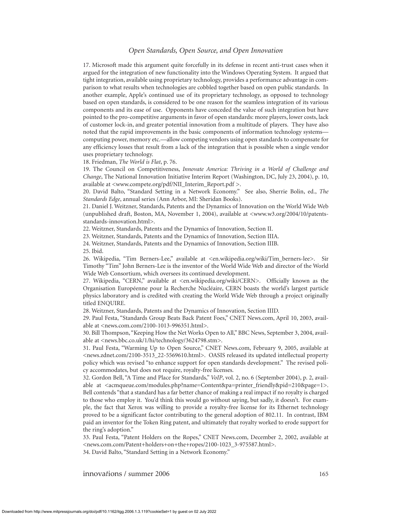17. Microsoft made this argument quite forcefully in its defense in recent anti-trust cases when it argued for the integration of new functionality into the Windows Operating System. It argued that tight integration, available using proprietary technology, provides a performance advantage in comparison to what results when technologies are cobbled together based on open public standards. In another example, Apple's continued use of its proprietary technology, as opposed to technology based on open standards, is considered to be one reason for the seamless integration of its various components and its ease of use. Opponents have conceded the value of such integration but have pointed to the pro-competitive arguments in favor of open standards: more players, lower costs, lack of customer lock-in, and greater potential innovation from a multitude of players. They have also noted that the rapid improvements in the basic components of information technology systems computing power, memory etc.—allow competing vendors using open standards to compensate for any efficiency losses that result from a lack of the integration that is possible when a single vendor uses proprietary technology.

18. Friedman, *The World is Flat*, p. 76.

19. The Council on Competitiveness, *Innovate America: Thriving in a World of Challenge and Change*, The National Innovation Initiative Interim Report (Washington, DC, July 23, 2004), p. 10, available at <www.compete.org/pdf/NII\_Interim\_Report.pdf >.

20. David Balto, "Standard Setting in a Network Economy." See also, Sherrie Bolin, ed., *The Standards Edge*, annual series (Ann Arbor, MI: Sheridan Books).

21. Daniel J. Weitzner, Standards, Patents and the Dynamics of Innovation on the World Wide Web (unpublished draft, Boston, MA, November 1, 2004), available at <www.w3.org/2004/10/patentsstandards-innovation.html>.

22. Weitzner, Standards, Patents and the Dynamics of Innovation, Section II.

23. Weitzner, Standards, Patents and the Dynamics of Innovation, Section IIIA.

24. Weitzner, Standards, Patents and the Dynamics of Innovation, Section IIIB. 25. Ibid.

26. Wikipedia, "Tim Berners-Lee," available at <en.wikipedia.org/wiki/Tim\_berners-lee>. Sir Timothy "Tim" John Berners-Lee is the inventor of the World Wide Web and director of the World Wide Web Consortium, which oversees its continued development.

27. Wikipedia, "CERN," available at <en.wikipedia.org/wiki/CERN>. Officially known as the Organisation Européenne pour la Recherche Nucléaire, CERN boasts the world's largest particle physics laboratory and is credited with creating the World Wide Web through a project originally titled ENQUIRE.

28. Weitzner, Standards, Patents and the Dynamics of Innovation, Section IIID.

29. Paul Festa, "Standards Group Beats Back Patent Foes," CNET News.com, April 10, 2003, available at <news.com.com/2100-1013-996351.html>.

30. Bill Thompson, "Keeping How the Net Works Open to All," BBC News, September 3, 2004, available at <news.bbc.co.uk/1/hi/technology/3624798.stm>.

31. Paul Festa, "Warming Up to Open Source," CNET News.com, February 9, 2005, available at <news.zdnet.com/2100-3513\_22-5569610.html>. OASIS released its updated intellectual property policy which was revised "to enhance support for open standards development." The revised policy accommodates, but does not require, royalty-free licenses.

32. Gordon Bell, "A Time and Place for Standards," *VoIP*, vol. 2, no. 6 (September 2004), p. 2, available at <acmqueue.com/modules.php?name=Content&pa=printer\_friendly&pid=210&page=1>. Bell contends "that a standard has a far better chance of making a real impact if no royalty is charged to those who employ it. You'd think this would go without saying, but sadly, it doesn't. For example, the fact that Xerox was willing to provide a royalty-free license for its Ethernet technology proved to be a significant factor contributing to the general adoption of 802.11. In contrast, IBM paid an inventor for the Token Ring patent, and ultimately that royalty worked to erode support for the ring's adoption."

33. Paul Festa, "Patent Holders on the Ropes," CNET News.com, December 2, 2002, available at <news.com.com/Patent+holders+on+the+ropes/2100-1023\_3-975587.html>.

34. David Balto, "Standard Setting in a Network Economy."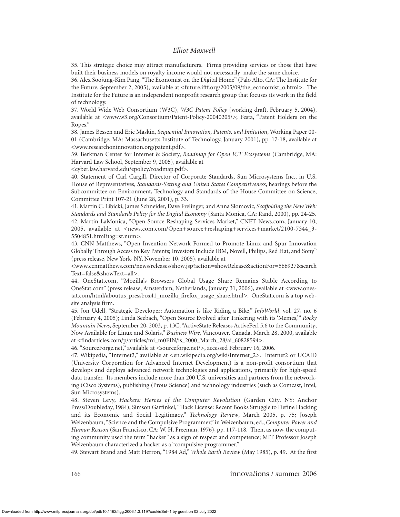35. This strategic choice may attract manufacturers. Firms providing services or those that have built their business models on royalty income would not necessarily make the same choice.

36. Alex Soojung-Kim Pang, "The Economist on the Digital Home" (Palo Alto, CA: The Institute for the Future, September 2, 2005), available at <future.iftf.org/2005/09/the\_economist\_o.html>. The Institute for the Future is an independent nonprofit research group that focuses its work in the field of technology.

37. World Wide Web Consortium (W3C), *W3C Patent Policy* (working draft, February 5, 2004), available at <www.w3.org/Consortium/Patent-Policy-20040205/>; Festa, "Patent Holders on the Ropes."

38. James Bessen and Eric Maskin, *Sequential Innovation, Patents, and Imitation*, Working Paper 00- 01 (Cambridge, MA: Massachusetts Institute of Technology, January 2001), pp. 17-18, available at <www.researchoninnovation.org/patent.pdf>.

39. Berkman Center for Internet & Society, *Roadmap for Open ICT Ecosystems* (Cambridge, MA: Harvard Law School, September 9, 2005), available at

<cyber.law.harvard.edu/epolicy/roadmap.pdf>.

40. Statement of Carl Cargill, Director of Corporate Standards, Sun Microsystems Inc., in U.S. House of Representatives, *Standards-Setting and United States Competitiveness*, hearings before the Subcommittee on Environment, Technology and Standards of the House Committee on Science, Committee Print 107-21 (June 28, 2001), p. 33.

41. Martin C. Libicki, James Schneider, Dave Frelinger, and Anna Slomovic, *Scaffolding the New Web: Standards and Standards Policy for the Digital Economy* (Santa Monica, CA: Rand, 2000), pp. 24-25. 42. Martin LaMonica, "Open Source Reshaping Services Market," CNET News.com, January 10, 2005, available at <news.com.com/Open+source+reshaping+services+market/2100-7344\_3- 5504851.html?tag=st.num>.

43. CNN Matthews, "Open Invention Network Formed to Promote Linux and Spur Innovation Globally Through Access to Key Patents; Investors Include IBM, Novell, Philips, Red Hat, and Sony" (press release, New York, NY, November 10, 2005), available at

<www.ccnmatthews.com/news/releases/show.jsp?action=showRelease&actionFor=566927&search Text=false&showText=all>.

44. OneStat.com, "Mozilla's Browsers Global Usage Share Remains Stable According to OneStat.com" (press release, Amsterdam, Netherlands, January 31, 2006), available at <www.onestat.com/html/aboutus\_pressbox41\_mozilla\_firefox\_usage\_share.html>. OneStat.com is a top website analysis firm.

45. Jon Udell, "Strategic Developer: Automation is like Riding a Bike," *InfoWorld*, vol. 27, no. 6 (February 4, 2005); Linda Seebach, "Open Source Evolved after Tinkering with its 'Memes,'" *Rocky Mountain News*, September 20, 2003, p. 13C; "ActiveState Releases ActivePerl 5.6 to the Community; Now Available for Linux and Solaris," *Business Wire*, Vancouver, Canada, March 28, 2000, available at <findarticles.com/p/articles/mi\_m0EIN/is\_2000\_March\_28/ai\_60828594>.

46. "SourceForge.net," available at <sourceforge.net/>, accessed February 16, 2006.

47. Wikipedia, "Internet2," available at <en.wikipedia.org/wiki/Internet\_2>. Internet2 or UCAID (University Corporation for Advanced Internet Development) is a non-profit consortium that develops and deploys advanced network technologies and applications, primarily for high-speed data transfer. Its members include more than 200 U.S. universities and partners from the networking (Cisco Systems), publishing (Prous Science) and technology industries (such as Comcast, Intel, Sun Microsystems).

48. Steven Levy, *Hackers: Heroes of the Computer Revolution* (Garden City, NY: Anchor Press/Doubleday, 1984); Simson Garfinkel, "Hack License: Recent Books Struggle to Define Hacking and its Economic and Social Legitimacy," *Technology Review*, March 2005, p. 75; Joseph Weizenbaum, "Science and the Compulsive Programmer," in Weizenbaum, ed., *Computer Power and Human Reason* (San Francisco, CA: W. H. Freeman, 1976), pp. 117-118. Then, as now, the computing community used the term "hacker" as a sign of respect and competence; MIT Professor Joseph Weizenbaum characterized a hacker as a "compulsive programmer."

49. Stewart Brand and Matt Herron, "1984 Ad," *Whole Earth Review* (May 1985), p. 49. At the first

166 innova*t*ions / summer 2006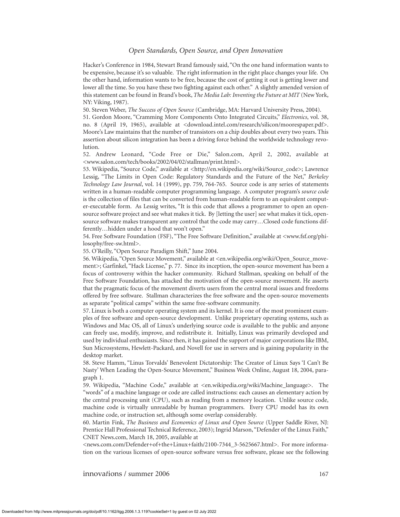Hacker's Conference in 1984, Stewart Brand famously said, "On the one hand information wants to be expensive, because it's so valuable. The right information in the right place changes your life. On the other hand, information wants to be free, because the cost of getting it out is getting lower and lower all the time. So you have these two fighting against each other." A slightly amended version of this statement can be found in Brand's book, *The Media Lab: Inventing the Future at MIT* (New York, NY: Viking, 1987).

50. Steven Weber, *The Success of Open Source* (Cambridge, MA: Harvard University Press, 2004).

51. Gordon Moore, "Cramming More Components Onto Integrated Circuits," *Electronics*, vol. 38, no. 8 (April 19, 1965), available at <download.intel.com/research/silicon/moorespaper.pdf>. Moore's Law maintains that the number of transistors on a chip doubles about every two years. This assertion about silicon integration has been a driving force behind the worldwide technology revolution.

52. Andrew Leonard, "Code Free or Die," Salon.com, April 2, 2002, available at <www.salon.com/tech/books/2002/04/02/stallman/print.html>.

53. Wikipedia, "Source Code," available at <http://en.wikipedia.org/wiki/Source\_code>; Lawrence Lessig, "The Limits in Open Code: Regulatory Standards and the Future of the Net," *Berkeley Technology Law Journal*, vol. 14 (1999), pp. 759, 764-765. Source code is any series of statements written in a human-readable computer programming language. A computer program's *source code* is the collection of files that can be converted from human-readable form to an equivalent computer-executable form. As Lessig writes, "It is this code that allows a programmer to open an opensource software project and see what makes it tick. By [letting the user] see what makes it tick, opensource software makes transparent any control that the code may carry…Closed code functions differently…hidden under a hood that won't open."

54. Free Software Foundation (FSF), "The Free Software Definition," available at <www.fsf.org/philosophy/free-sw.html>.

55. O'Reilly, "Open Source Paradigm Shift," June 2004.

56. Wikipedia, "Open Source Movement," available at <en.wikipedia.org/wiki/Open\_Source\_movement>; Garfinkel, "Hack License," p. 77. Since its inception, the open-source movement has been a focus of controversy within the hacker community. Richard Stallman, speaking on behalf of the Free Software Foundation, has attacked the motivation of the open-source movement. He asserts that the pragmatic focus of the movement diverts users from the central moral issues and freedoms offered by free software. Stallman characterizes the free software and the open-source movements as separate "political camps" within the same free-software community.

57. Linux is both a computer operating system and its kernel. It is one of the most prominent examples of free software and open-source development. Unlike proprietary operating systems, such as Windows and Mac OS, all of Linux's underlying source code is available to the public and anyone can freely use, modify, improve, and redistribute it. Initially, Linux was primarily developed and used by individual enthusiasts. Since then, it has gained the support of major corporations like IBM, Sun Microsystems, Hewlett-Packard, and Novell for use in servers and is gaining popularity in the desktop market.

58. Steve Hamm, "Linus Torvalds' Benevolent Dictatorship: The Creator of Linux Says 'I Can't Be Nasty' When Leading the Open-Source Movement," Business Week Online, August 18, 2004, paragraph 1.

59. Wikipedia, "Machine Code," available at <en.wikipedia.org/wiki/Machine\_language>. The "words" of a machine language or code are called instructions: each causes an elementary action by the central processing unit (CPU), such as reading from a memory location. Unlike source code, machine code is virtually unreadable by human programmers. Every CPU model has its own machine code, or instruction set, although some overlap considerably.

60. Martin Fink, *The Business and Economics of Linux and Open Source* (Upper Saddle River, NJ: Prentice Hall Professional Technical Reference, 2003); Ingrid Marson, "Defender of the Linux Faith," CNET News.com, March 18, 2005, available at

<news.com.com/Defender+of+the+Linux+faith/2100-7344\_3-5625667.html>. For more information on the various licenses of open-source software versus free software, please see the following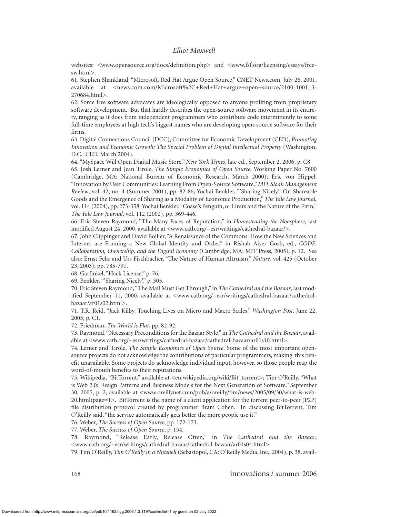websites: <www.opensource.org/docs/definition.php> and <www.fsf.org/licensing/essays/freesw.html>.

61. Stephen Shankland, "Microsoft, Red Hat Argue Open Source," CNET News.com, July 26, 2001, available at <news.com.com/Microsoft%2C+Red+Hat+argue+open+source/2100-1001\_3- 270684.html>.

62. Some free software advocates are ideologically opposed to anyone profiting from proprietary software development. But that hardly describes the open-source software movement in its entirety, ranging as it does from independent programmers who contribute code intermittently to some full-time employees at high tech's biggest names who are developing open-source software for their firms.

63. Digital Connections Council (DCC), Committee for Economic Development (CED), *Promoting Innovation and Economic Growth: The Special Problem of Digital Intellectual Property* (Washington, D.C.: CED, March 2004).

64. "MySpace Will Open Digital Music Store," *New York Times*, late ed., September 2, 2006, p. C8 65. Josh Lerner and Jean Tirole, *The Simple Economics of Open Source*, Working Paper No. 7600 (Cambridge, MA: National Bureau of Economic Research, March 2000); Eric von Hippel, "Innovation by User Communities: Learning From Open-Source Software,"*MIT Sloan Management Review*, vol. 42, no. 4 (Summer 2001), pp. 82-86; Yochai Benkler, "'Sharing Nicely': On Shareable Goods and the Emergence of Sharing as a Modality of Economic Production," *The Yale Law Journal*, vol. 114 (2004), pp. 273-358; Yochai Benkler,"Coase's Penguin, or Linux and the Nature of the Firm," *The Yale Law Journal*, vol. 112 (2002), pp. 369-446.

66. Eric Steven Raymond, "The Many Faces of Reputation," in *Homesteading the Noosphere*, last modified August 24, 2000, available at <www.catb.org/~esr/writings/cathedral-bazaar/>.

67. John Clippinger and David Bollier, "A Renaissance of the Commons: How the New Sciences and Internet are Framing a New Global Identity and Order," in Rishab Aiyer Gosh, ed., *CODE: Collaboration, Ownership, and the Digital Economy* (Cambridge, MA: MIT Press, 2005), p. 12. See also: Ernst Fehr and Urs Fischbacher, "The Nature of Human Altruism," *Nature*, vol. 425 (October 23, 2003), pp. 785-791.

68. Garfinkel, "Hack License," p. 76.

69. Benkler, "'Sharing Nicely'," p. 305.

70. Eric Steven Raymond, "The Mail Must Get Through," in *The Cathedral and the Bazaar*, last modified September 11, 2000, available at <www.catb.org/~esr/writings/cathedral-bazaar/cathedralbazaar/ar01s02.html>.

71. T.R. Reid, "Jack Kilby, Touching Lives on Micro and Macro Scales," *Washington Post*, June 22, 2005, p. C1.

72. Friedman, *The World is Flat*, pp. 82-92.

73. Raymond,"Necessary Preconditions for the Bazaar Style," in *The Cathedral and the Bazaar*, available at <www.catb.org/~esr/writings/cathedral-bazaar/cathedral-bazaar/ar01s10.html>.

74. Lerner and Tirole, *The Simple Economics of Open Source*. Some of the most important opensource projects do not acknowledge the contributions of particular programmers, making this benefit unavailable. Some projects do acknowledge individual input, however, so those people reap the word-of-mouth benefits to their reputations.

75. Wikipedia, "BitTorrent," available at <en.wikipedia.org/wiki/Bit\_torrent>; Tim O'Reilly, "What is Web 2.0: Design Patterns and Business Models for the Next Generation of Software," September 30, 2005, p. 2, available at <www.oreillynet.com/pub/a/oreilly/tim/news/2005/09/30/what-is-web-20.html?page=1>. BitTorrent is the name of a client application for the torrent peer-to-peer (P2P) file distribution protocol created by programmer Bram Cohen. In discussing BitTorrent, Tim O'Reilly said, "the service automatically gets better the more people use it."

76. Weber, *The Success of Open Source*, pp. 172-173.

77. Weber, *The Success of Open Source*, p. 154.

78. Raymond, "Release Early, Release Often," in *The Cathedral and the Bazaar*, <www.catb.org/~esr/writings/cathedral-bazaar/cathedral-bazaar/ar01s04.html>.

79. Tim O'Reilly, *Tim O'Reilly in a Nutshell* (Sebastopol, CA: O'Reilly Media, Inc., 2004), p. 38, avail-

168 innova*t*ions / summer 2006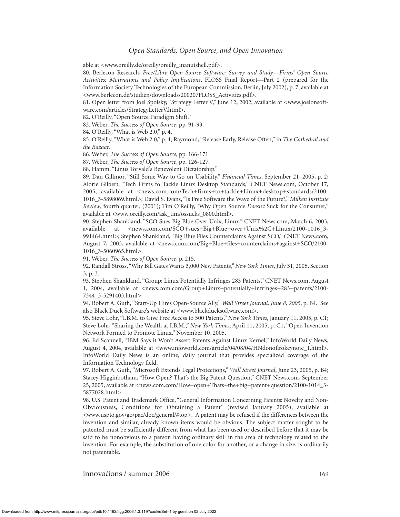able at <www.oreilly.de/oreilly/oreilly\_inanutshell.pdf>.

80. Berlecon Research, *Free/Libre Open Source Software: Survey and Study*—*Firms' Open Source Activities: Motivations and Policy Implications*, FLOSS Final Report—Part 2 (prepared for the Information Society Technologies of the European Commission, Berlin, July 2002), p. 7, available at <www.berlecon.de/studien/downloads/200207FLOSS\_Activities.pdf>.

81. Open letter from Joel Spolsky, "Strategy Letter V," June 12, 2002, available at <www.joelonsoftware.com/articles/StrategyLetterV.html>.

82. O'Reilly, "Open Source Paradigm Shift."

83. Weber, *The Success of Open Source*, pp. 91-93.

84. O'Reilly, "What is Web 2.0," p. 4.

85. O'Reilly, "What is Web 2.0," p. 4; Raymond, "Release Early, Release Often," in *The Cathedral and the Bazaar*.

86. Weber, *The Success of Open Source*, pp. 166-171.

87. Weber, *The Success of Open Source*, pp. 126-127.

88. Hamm, "Linus Torvald's Benevolent Dictatorship."

89. Dan Gillmor, "Still Some Way to Go on Usability," *Financial Times*, September 21, 2005, p. 2; Alorie Gilbert, "Tech Firms to Tackle Linux Desktop Standards," CNET News.com, October 17, 2005, available at <news.com.com/Tech+firms+to+tackle+Linux+desktop+standards/2100- 1016\_3-5898069.html>; David S. Evans, "Is Free Software the Wave of the Future?," *Milken Institute Review*, fourth quarter, (2001); Tim O'Reilly, "Why Open Source *Doesn't* Suck for the Consumer," available at <www.oreilly.com/ask\_tim/ossucks\_0800.html>.

90. Stephen Shankland, "SCO Sues Big Blue Over Unix, Linux," CNET News.com, March 6, 2003, available at <news.com.com/SCO+sues+Big+Blue+over+Unix%2C+Linux/2100-1016\_3-991464.html>; Stephen Shankland, "Big Blue Files Counterclaims Against SCO," CNET News.com, August 7, 2003, available at <news.com.com/Big+Blue+files+counterclaims+against+SCO/2100- 1016\_3-5060965.html>.

91. Weber, *The Success of Open Source*, p. 215.

92. Randall Stross, "Why Bill Gates Wants 3,000 New Patents," *New York Times*, July 31, 2005, Section 3, p. 3.

93. Stephen Shankland, "Group: Linux Potentially Infringes 283 Patents," CNET News.com, August 1, 2004, available at <news.com.com/Group+Linux+potentially+infringes+283+patents/2100- 7344\_3-5291403.html>.

94. Robert A. Guth, "Start-Up Hires Open-Source Ally," *Wall Street Journal, June 8, 2005*, p. B4. See also Black Duck Software's website at <www.blackducksoftware.com>.

95. Steve Lohr, "I.B.M. to Give Free Access to 500 Patents," *New York Times*, January 11, 2005, p. C1; Steve Lohr, "Sharing the Wealth at I.B.M.," *New York Times*, April 11, 2005, p. C1; "Open Invention Network Formed to Promote Linux," November 10, 2005.

96. Ed Scannell, "IBM Says it Won't Assert Patents Against Linux Kernel," InfoWorld Daily News, August 4, 2004, available at <www.infoworld.com/article/04/08/04/HNdonofirokeynote\_1.html>. InfoWorld Daily News is an online, daily journal that provides specialized coverage of the Information Technology field.

97. Robert A. Guth, "Microsoft Extends Legal Protections," *Wall Street Journal*, June 23, 2005, p. B4; Stacey Higginbotham, "How Open? That's the Big Patent Question," CNET News.com, September 25, 2005, available at <news.com.com/How+open+Thats+the+big+patent+question/2100-1014\_3- 5877028.html>.

98. U.S. Patent and Trademark Office, "General Information Concerning Patents: Novelty and Non-Obviousness, Conditions for Obtaining a Patent" (revised January 2005), available at  $\langle$ www.uspto.gov/go/pac/doc/general/#top>. A patent may be refused if the differences between the invention and similar, already known items would be obvious. The subject matter sought to be patented must be sufficiently different from what has been used or described before that it may be said to be nonobvious to a person having ordinary skill in the area of technology related to the invention. For example, the substitution of one color for another, or a change in size, is ordinarily not patentable.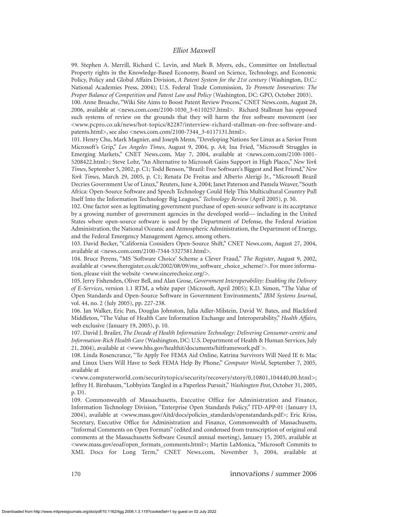99. Stephen A. Merrill, Richard C. Levin, and Mark B. Myers, eds., Committee on Intellectual Property rights in the Knowledge-Based Economy, Board on Science, Technology, and Economic Policy, Policy and Global Affairs Division, *A Patent System for the 21st century* (Washington, D.C.: National Academies Press, 2004); U.S. Federal Trade Commission, *To Promote Innovation: The Proper Balance of Competition and Patent Law and Policy* (Washington, DC: GPO, October 2003).

100. Anne Broache, "Wiki Site Aims to Boost Patent Review Process," CNET News.com, August 28, 2006, available at <news.com.com/2100-1030\_3-6110257.html>. Richard Stallman has opposed such systems of review on the grounds that they will harm the free software movement (see <www.pcpro.co.uk/news/hot-topics/82287/interview-richard-stallman-on-free-software-andpatents.html>, see also <news.com.com/2100-7344\_3-6117131.html>.

101. Henry Chu, Mark Magnier, and Joseph Menn, "Developing Nations See Linux as a Savior From Microsoft's Grip," *Los Angeles Times*, August 9, 2004, p. A4; Ina Fried, "Microsoft Struggles in Emerging Markets," CNET News.com, May 7, 2004, available at <news.com.com/2100-1001-5208422.html>; Steve Lohr, "An Alternative to Microsoft Gains Support in High Places," *New York Times*, September 5, 2002, p. C1; Todd Benson, "Brazil: Free Software's Biggest and Best Friend,"*New York Times*, March 29, 2005, p. C1; Renata De Freitas and Alberto Alerigi Jr., "Microsoft Brazil Decries Government Use of Linux," Reuters, June 4, 2004; Janet Paterson and Pamela Weaver,"South Africa: Open-Source Software and Speech Technology Could Help This Multicultural Country Pull Itself Into the Information Technology Big Leagues," *Technology Review* (April 2005), p. 50.

102. One factor seen as legitimating government purchase of open-source software is its acceptance by a growing number of government agencies in the developed world— including in the United States where open-source software is used by the Department of Defense, the Federal Aviation Administration, the National Oceanic and Atmospheric Administration, the Department of Energy, and the Federal Emergency Management Agency, among others.

103. David Becker, "California Considers Open-Source Shift," CNET News.com, August 27, 2004, available at <news.com.com/2100-7344-5327581.html>.

104. Bruce Perens, "MS 'Software Choice' Scheme a Clever Fraud," *The Register*, August 9, 2002, available at <www.theregister.co.uk/2002/08/09/ms\_software\_choice\_scheme/>. For more information, please visit the website <www.sincerechoice.org/>.

105. Jerry Fishenden, Oliver Bell, and Alan Grose, *Government Interoperability: Enabling the Delivery of E-Services*, version 1.1 RTM, a white paper (Microsoft, April 2005); K.D. Simon, "The Value of Open Standards and Open-Source Software in Government Environments," *IBM Systems Journal*, vol. 44, no. 2 (July 2005), pp. 227-238.

106. Jan Walker, Eric Pan, Douglas Johnston, Julia Adler-Milstein, David W. Bates, and Blackford Middleton, "The Value of Health Care Information Exchange and Interoperability," *Health Affairs*, web exclusive (January 19, 2005), p. 10.

107. David J. Brailer, *The Decade of Health Information Technology: Delivering Consumer-centric and Information-Rich Health Care* (Washington, DC: U.S. Department of Health & Human Services, July 21, 2004), available at <www.hhs.gov/healthit/documents/hitframework.pdf >.

108. Linda Rosencrance, "To Apply For FEMA Aid Online, Katrina Survivors Will Need IE 6: Mac and Linux Users Will Have to Seek FEMA Help By Phone," *Computer World*, September 7, 2005, available at

<www.computerworld.com/securitytopics/security/recovery/story/0,10801,104440,00.html>; Jeffrey H. Birnbaum, "Lobbyists Tangled in a Paperless Pursuit," *Washington Post*, October 31, 2005, p. D1.

109. Commonwealth of Massachusetts, Executive Office for Administration and Finance, Information Technology Division, "Enterprise Open Standards Policy," ITD-APP-01 (January 13, 2004), available at <www.mass.gov/Aitd/docs/policies\_standards/openstandards.pdf>; Eric Kriss, Secretary, Executive Office for Administration and Finance, Commonwealth of Massachusetts, "Informal Comments on Open Formats" (edited and condensed from transcription of original oral comments at the Massachusetts Software Council annual meeting), January 15, 2005, available at <www.mass.gov/eoaf/open\_formats\_comments.html>; Martin LaMonica, "Microsoft Commits to XML Docs for Long Term," CNET News.com, November 5, 2004, available at

170 innova*t*ions / summer 2006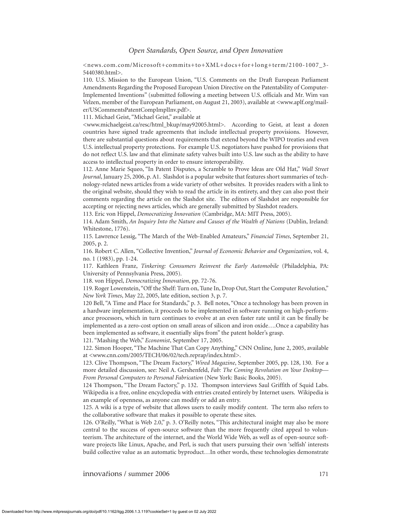<news.com.com/Microsoft+commits+to+XML+docs+for+long+term/2100-1007\_3- 5440380.html>.

110. U.S. Mission to the European Union, "U.S. Comments on the Draft European Parliament Amendments Regarding the Proposed European Union Directive on the Patentability of Computer-Implemented Inventions" (submitted following a meeting between U.S. officials and Mr. Wim van Velzen, member of the European Parliament, on August 21, 2003), available at <www.aplf.org/mailer/USCommentsPatentCompImplInv.pdf>.

111. Michael Geist, "Michael Geist," available at

<www.michaelgeist.ca/resc/html\_bkup/may92005.html>. According to Geist, at least a dozen countries have signed trade agreements that include intellectual property provisions. However, there are substantial questions about requirements that extend beyond the WIPO treaties and even U.S. intellectual property protections. For example U.S. negotiators have pushed for provisions that do not reflect U.S. law and that eliminate safety valves built into U.S. law such as the ability to have access to intellectual property in order to ensure interoperability.

112. Anne Marie Squeo, "In Patent Disputes, a Scramble to Prove Ideas are Old Hat," *Wall Street Journal*, January 25, 2006, p. A1. Slashdot is a popular website that features short summaries of technology-related news articles from a wide variety of other websites. It provides readers with a link to the original website, should they wish to read the article in its entirety, and they can also post their comments regarding the article on the Slashdot site. The editors of Slashdot are responsible for accepting or rejecting news articles, which are generally submitted by Slashdot readers.

113. Eric von Hippel, *Democratizing Innovation* (Cambridge, MA: MIT Press, 2005).

114. Adam Smith, *An Inquiry Into the Nature and Causes of the Wealth of Nations* (Dublin, Ireland: Whitestone, 1776).

115. Lawrence Lessig, "The March of the Web-Enabled Amateurs," *Financial Times*, September 21, 2005, p. 2.

116. Robert C. Allen, "Collective Invention," *Journal of Economic Behavior and Organization*, vol. 4, no. 1 (1983), pp. 1-24.

117. Kathleen Franz, *Tinkering: Consumers Reinvent the Early Automobile* (Philadelphia, PA: University of Pennsylvania Press, 2005).

118. von Hippel, *Democratizing Innovation*, pp. 72-76.

119. Roger Lowenstein, "Off the Shelf: Turn on, Tune In, Drop Out, Start the Computer Revolution," *New York Times*, May 22, 2005, late edition, section 3, p. 7.

120 Bell, "A Time and Place for Standards," p. 3. Bell notes, "Once a technology has been proven in a hardware implementation, it proceeds to be implemented in software running on high-performance processors, which in turn continues to evolve at an even faster rate until it can be finally be implemented as a zero-cost option on small areas of silicon and iron oxide….Once a capability has been implemented as software, it essentially slips from" the patent holder's grasp.

121. "Mashing the Web," *Economist*, September 17, 2005.

122. Simon Hooper, "The Machine That Can Copy Anything," CNN Online, June 2, 2005, available at <www.cnn.com/2005/TECH/06/02/tech.reprap/index.html>.

123. Clive Thompson, "The Dream Factory," *Wired Magazine*, September 2005, pp. 128, 130. For a more detailed discussion, see: Neil A. Gershenfeld, *Fab: The Coming Revolution on Your Desktop— From Personal Computers to Personal Fabrication* (New York: Basic Books, 2005).

124 Thompson, "The Dream Factory," p. 132. Thompson interviews Saul Griffith of Squid Labs. Wikipedia is a free, online encyclopedia with entries created entirely by Internet users. Wikipedia is an example of openness, as anyone can modify or add an entry.

125. A wiki is a type of website that allows users to easily modify content. The term also refers to the collaborative software that makes it possible to operate these sites.

126. O'Reilly, "What is Web 2.0," p. 3. O'Reilly notes, "This architectural insight may also be more central to the success of open-source software than the more frequently cited appeal to volunteerism. The architecture of the internet, and the World Wide Web, as well as of open-source software projects like Linux, Apache, and Perl, is such that users pursuing their own 'selfish' interests build collective value as an automatic byproduct…In other words, these technologies demonstrate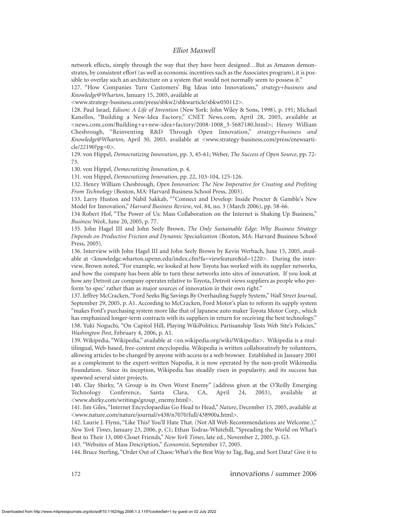network effects, simply through the way that they have been designed…But as Amazon demonstrates, by consistent effort (as well as economic incentives such as the Associates program), it is possible to overlay such an architecture on a system that would not normally seem to possess it."

127. "How Companies Turn Customers' Big Ideas into Innovations," *strategy+business and Knowledge@Wharton*, January 15, 2005, available at

<www.strategy-business.com/press/sbkw2/sbkwarticle/sbkw050112>.

128. Paul Israel, *Edison: A Life of Invention* (New York: John Wiley & Sons, 1998), p. 191; Michael Kanellos, "Building a New-Idea Factory," CNET News.com, April 28, 2005, available at <news.com.com/Building+a+new-idea+factory/2008-1008\_3-5687180.html>; Henry William Chesbrough, "Reinventing R&D Through Open Innovation," *strategy+business and Knowledge@Wharton*, April 30, 2003, available at <www.strategy-business.com/press/enewsarticle/22190?pg=0>.

129. von Hippel, *Democratizing Innovation*, pp. 3, 45-61; Weber, *The Success of Open Source*, pp. 72- 73.

130. von Hippel, *Democratizing Innovation*, p. 4.

131. von Hippel, *Democratizing Innovation*, pp. 22, 103-104, 125-126.

132. Henry William Chesbrough, *Open Innovation: The New Imperative for Creating and Profiting From Technology* (Boston, MA: Harvard Business School Press, 2003).

133. Larry Huston and Nabil Sakkab, ""Connect and Develop: Inside Procter & Gamble's New Model for Innovation," *Harvard Business Review*, vol. 84, no. 3 (March 2006), pp. 58-66.

134 Robert Hof, "The Power of Us: Mass Collaboration on the Internet is Shaking Up Business," *Business Week*, June 20, 2005, p. 77.

135. John Hagel III and John Seely Brown, *The Only Sustainable Edge: Why Business Strategy Depends on Productive Friction and Dynamic Specialization* (Boston, MA: Harvard Business School Press, 2005).

136. Interview with John Hagel III and John Seely Brown by Kevin Werbach, June 15, 2005, available at <knowledge.wharton.upenn.edu/index.cfm?fa=viewfeature&id=1220>. During the interview, Brown noted, "For example, we looked at how Toyota has worked with its supplier networks, and how the company has been able to turn these networks into sites of innovation. If you look at how any Detroit car company operates relative to Toyota, Detroit views suppliers as people who perform 'to spec' rather than as major sources of innovation in their own right."

137. Jeffrey McCracken, "Ford Seeks Big Savings By Overhauling Supply System,"*Wall Street Journal*, September 29, 2005, p. A1. According to McCracken, Ford Motor's plan to reform its supply system "makes Ford's purchasing system more like that of Japanese auto maker Toyota Motor Corp., which has emphasized longer-term contracts with its suppliers in return for receiving the best technology." 138. Yuki Noguchi, "On Capitol Hill, Playing WikiPolitics; Partisanship Tests Web Site's Policies," *Washington Post*, February 4, 2006, p. A1.

139. Wikipedia, "Wikipedia," available at <en.wikipedia.org/wiki/Wikipedia>. Wikipedia is a multilingual, Web-based, free-content encyclopedia. Wikipedia is written collaboratively by volunteers, allowing articles to be changed by anyone with access to a web browser. Established in January 2001 as a complement to the expert-written Nupedia, it is now operated by the non-profit Wikimedia Foundation. Since its inception, Wikipedia has steadily risen in popularity, and its success has spawned several sister projects.

140. Clay Shirky, "A Group is its Own Worst Enemy" (address given at the O'Reilly Emerging Technology Conference, Santa Clara, CA, April 24, 2003), available <www.shirky.com/writings/group\_enemy.html>.

141. Jim Giles, "Internet Encyclopaedias Go Head to Head," *Nature*, December 15, 2005, available at <www.nature.com/nature/journal/v438/n7070/full/438900a.html>.

142. Laurie J. Flynn, "Like This? You'll Hate That. (Not All Web Recommendations are Welcome.)," *New York Times*, January 23, 2006, p. C1; Ethan Todras-Whitehill, "Spreading the World on What's Best to Their 13, 000 Closet Friends," *New York Times*, late ed., November 2, 2005, p. G3.

143. "Websites of Mass Description," *Economist*, September 17, 2005.

144. Bruce Sterling, "Order Out of Chaos: What's the Best Way to Tag, Bag, and Sort Data? Give it to

172 innova*t*ions / summer 2006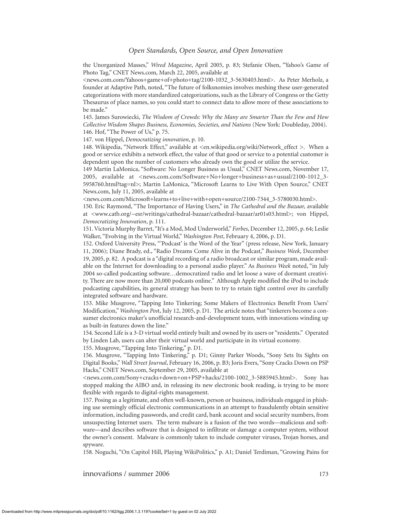the Unorganized Masses," *Wired Magazine*, April 2005, p. 83; Stefanie Olsen, "Yahoo's Game of Photo Tag," CNET News.com, March 22, 2005, available at

<news.com.com/Yahoos+game+of+photo+tag/2100-1032\_3-5630403.html>. As Peter Merholz, a founder at Adaptive Path, noted, "The future of folksnomies involves meshing these user-generated categorizations with more standardized categorizations, such as the Library of Congress or the Getty Thesaurus of place names, so you could start to connect data to allow more of these associations to be made."

145. James Surowiecki, *The Wisdom of Crowds: Why the Many are Smarter Than the Few and How Collective Wisdom Shapes Business, Economies, Societies, and Nations* (New York: Doubleday, 2004). 146. Hof, "The Power of Us," p. 75.

147. von Hippel, *Democratizing innovation*, p. 10.

148. Wikipedia, "Network Effect," available at <en.wikipedia.org/wiki/Network\_effect >. When a good or service exhibits a network effect, the value of that good or service to a potential customer is dependent upon the number of customers who already own the good or utilize the service.

149 Martin LaMonica, "Software: No Longer Business as Usual," CNET News.com, November 17, 2005, available at <news.com.com/Software+No+longer+business+as+usual/2100-1012\_3- 5958760.html?tag=nl>; Martin LaMonica, "Microsoft Learns to Live With Open Source," CNET News.com, July 11, 2005, available at

<news.com.com/Microsoft+learns+to+live+with+open+source/2100-7344\_3-5780030.html>.

150. Eric Raymond, "The Importance of Having Users," in *The Cathedral and the Bazaar,* available at <www.catb.org/~esr/writings/cathedral-bazaar/cathedral-bazaar/ar01s03.html>; von Hippel, *Democratizing Innovation*, p. 111.

151. Victoria Murphy Barret, "It's a Mod, Mod Underworld," *Forbes*, December 12, 2005, p. 64; Leslie Walker, "Evolving in the Virtual World," *Washington Post*, February 4, 2006, p. D1.

152. Oxford University Press, "'Podcast' is the Word of the Year" (press release, New York, January 11, 2006); Diane Brady, ed., "Radio Dreams Come Alive in the Podcast," *Business Week*, December 19, 2005, p. 82. A podcast is a "digital recording of a radio broadcast or similar program, made available on the Internet for downloading to a personal audio player." As *Business Week* noted, "in July 2004 so-called podcasting software…democratized radio and let loose a wave of dormant creativity. There are now more than 20,000 podcasts online." Although Apple modified the iPod to include podcasting capabilities, its general strategy has been to try to retain tight control over its carefully integrated software and hardware.

153. Mike Musgrove, "Tapping Into Tinkering; Some Makers of Electronics Benefit From Users' Modification," *Washington Pos*t, July 12, 2005, p. D1. The article notes that "tinkerers become a consumer electronics maker's unofficial research-and-development team, with innovations winding up as built-in features down the line."

154. Second Life is a 3-D virtual world entirely built and owned by its users or "residents." Operated by Linden Lab, users can alter their virtual world and participate in its virtual economy.

155. Musgrove, "Tapping Into Tinkering," p. D1.

156. Musgrove, "Tapping Into Tinkering," p. D1; Ginny Parker Woods, "Sony Sets Its Sights on Digital Books," *Wall Street Journal*, February 16, 2006, p. B3; Joris Evers, "Sony Cracks Down on PSP Hacks," CNET News.com, September 29, 2005, available at

<news.com.com/Sony+cracks+down+on+PSP+hacks/2100-1002\_3-5885945.html>. Sony has stopped making the AIBO and, in releasing its new electronic book reading, is trying to be more flexible with regards to digital-rights management.

157. Posing as a legitimate, and often well-known, person or business, individuals engaged in phishing use seemingly official electronic communications in an attempt to fraudulently obtain sensitive information, including passwords, and credit card, bank account and social security numbers, from unsuspecting Internet users. The term malware is a fusion of the two words—malicious and software—and describes software that is designed to infiltrate or damage a computer system, without the owner's consent. Malware is commonly taken to include computer viruses, Trojan horses, and spyware.

158. Noguchi, "On Capitol Hill, Playing WikiPolitics," p. A1; Daniel Terdiman, "Growing Pains for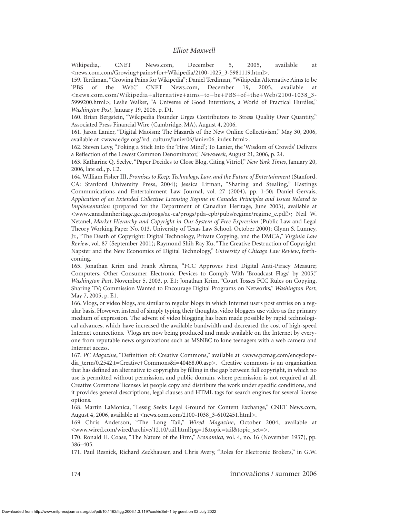Wikipedia,. CNET News.com, December 5, 2005, available at <news.com.com/Growing+pains+for+Wikipedia/2100-1025\_3-5981119.html>.

159. Terdiman, "Growing Pains for Wikipedia"; Daniel Terdiman, "Wikipedia Alternative Aims to be 'PBS of the Web'," CNET News.com, December 19, 2005, available <news.com.com/Wikipedia+alternative+aims+to+be+PBS+of+the+Web/2100-1038\_3- 5999200.html>; Leslie Walker, "A Universe of Good Intentions, a World of Practical Hurdles," *Washington Post*, January 19, 2006, p. D1.

160. Brian Bergstein, "Wikipedia Founder Urges Contributors to Stress Quality Over Quantity," Associated Press Financial Wire (Cambridge, MA), August 4, 2006.

161. Jaron Lanier, "Digital Maoism: The Hazards of the New Online Collectivism," May 30, 2006, available at <www.edge.org/3rd\_culture/lanier06/lanier06\_index.html>.

162. Steven Levy, "Poking a Stick Into the 'Hive Mind'; To Lanier, the 'Wisdom of Crowds' Delivers a Reflection of the Lowest Common Denominator," *Newsweek*, August 21, 2006, p. 24.

163. Katharine Q. Seelye, "Paper Decides to Close Blog, Citing Vitriol," *New York Times*, January 20, 2006, late ed., p. C2.

164. William Fisher III, *Promises to Keep: Technology, Law, and the Future of Entertainment* (Stanford, CA: Stanford University Press, 2004); Jessica Litman, "Sharing and Stealing," Hastings Communications and Entertainment Law Journal, vol. 27 (2004), pp. 1-50; Daniel Gervais, *Application of an Extended Collective Licensing Regime in Canada: Principles and Issues Related to Implementation* (prepared for the Department of Canadian Heritage, June 2003), available at <www.canadianheritage.gc.ca/progs/ac-ca/progs/pda-cpb/pubs/regime/regime\_e.pdf>; Neil W. Netanel, *Market Hierarchy and Copyright in Our System of Free Expression* (Public Law and Legal Theory Working Paper No. 013, University of Texas Law School, October 2000); Glynn S. Lunney, Jr., "The Death of Copyright: Digital Technology, Private Copying, and the DMCA," *Virginia Law Review*, vol. 87 (September 2001); Raymond Shih Ray Ku, "The Creative Destruction of Copyright: Napster and the New Economics of Digital Technology," *University of Chicago Law Review*, forthcoming.

165. Jonathan Krim and Frank Ahrens, "FCC Approves First Digital Anti-Piracy Measure; Computers, Other Consumer Electronic Devices to Comply With 'Broadcast Flags' by 2005," *Washington Post*, November 5, 2003, p. E1; Jonathan Krim, "Court Tosses FCC Rules on Copying, Sharing TV; Commission Wanted to Encourage Digital Programs on Networks," *Washington Post*, May 7, 2005, p. E1.

166. Vlogs, or video blogs, are similar to regular blogs in which Internet users post entries on a regular basis. However, instead of simply typing their thoughts, video bloggers use video as the primary medium of expression. The advent of video blogging has been made possible by rapid technological advances, which have increased the available bandwidth and decreased the cost of high-speed Internet connections. Vlogs are now being produced and made available on the Internet by everyone from reputable news organizations such as MSNBC to lone teenagers with a web camera and Internet access.

167. *PC Magazine*, "Definition of: Creative Commons," available at <www.pcmag.com/encyclopedia\_term/0,2542,t=Creative+Commons&i=40468,00.asp>. Creative commons is an organization that has defined an alternative to copyrights by filling in the gap between full copyright, in which no use is permitted without permission, and public domain, where permission is not required at all. Creative Commons' licenses let people copy and distribute the work under specific conditions, and it provides general descriptions, legal clauses and HTML tags for search engines for several license options.

168. Martin LaMonica, "Lessig Seeks Legal Ground for Content Exchange," CNET News.com, August 4, 2006, available at <news.com.com/2100-1038\_3-6102451.html>.

169 Chris Anderson, "The Long Tail," *Wired Magazine*, October 2004, available at <www.wired.com/wired/archive/12.10/tail.html?pg=1&topic=tail&topic\_set=>.

170. Ronald H. Coase, "The Nature of the Firm," *Economica*, vol. 4, no. 16 (November 1937), pp. 386–405.

171. Paul Resnick, Richard Zeckhauser, and Chris Avery, "Roles for Electronic Brokers," in G.W.

174 innova*t*ions / summer 2006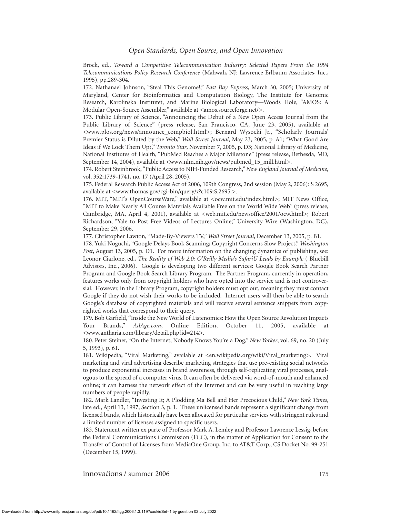Brock, ed., *Toward a Competitive Telecommunication Industry: Selected Papers From the 1994 Telecommunications Policy Research Conference* (Mahwah, NJ: Lawrence Erlbaum Associates, Inc., 1995), pp.289-304.

172. Nathanael Johnson, "Steal This Genome!," *East Bay Express*, March 30, 2005; University of Maryland, Center for Bioinformatics and Computation Biology, The Institute for Genomic Research, Karolinska Institutet, and Marine Biological Laboratory—Woods Hole, "AMOS: A Modular Open-Source Assembler," available at <amos.sourceforge.net/>.

173. Public Library of Science, "Announcing the Debut of a New Open Access Journal from the Public Library of Science" (press release, San Francisco, CA, June 23, 2005), available at <www.plos.org/news/announce\_compbiol.html>; Bernard Wysocki Jr., "Scholarly Journals' Premier Status is Diluted by the Web," *Wall Street Journal*, May 23, 2005, p. A1; "What Good Are Ideas if We Lock Them Up?," *Toronto Star*, November 7, 2005, p. D3; National Library of Medicine, National Institutes of Health, "PubMed Reaches a Major Milestone" (press release, Bethesda, MD, September 14, 2004), available at <www.nlm.nih.gov/news/pubmed\_15\_mill.html>.

174. Robert Steinbrook, "Public Access to NIH-Funded Research," *New England Journal of Medicine*, vol. 352:1739-1741, no. 17 (April 28, 2005).

175. Federal Research Public Access Act of 2006, 109th Congress, 2nd session (May 2, 2006): S 2695, available at <www.thomas.gov/cgi-bin/query/z?c109:S.2695:>.

176. MIT, "MIT's OpenCourseWare," available at <ocw.mit.edu/index.html>; MIT News Office, "MIT to Make Nearly All Course Materials Available Free on the World Wide Web" (press release, Cambridge, MA, April 4, 2001), available at <web.mit.edu/newsoffice/2001/ocw.html>; Robert Richardson, "Yale to Post Free Videos of Lectures Online," University Wire (Washington, DC), September 29, 2006.

177. Christopher Lawton, "Made-By-Viewers TV," *Wall Street Journal*, December 13, 2005, p. B1.

178. Yuki Noguchi, "Google Delays Book Scanning; Copyright Concerns Slow Project," *Washington Post*, August 13, 2005, p. D1. For more information on the changing dynamics of publishing, see: Leonor Ciarlone, ed., *The Reality of Web 2.0: O'Reilly Media's SafariU Leads by Example* ( Bluebill Advisors, Inc., 2006). Google is developing two different services: Google Book Search Partner Program and Google Book Search Library Program. The Partner Program, currently in operation, features works only from copyright holders who have opted into the service and is not controversial. However, in the Library Program, copyright holders must opt out, meaning they must contact Google if they do not wish their works to be included. Internet users will then be able to search Google's database of copyrighted materials and will receive several sentence snippets from copyrighted works that correspond to their query.

179. Bob Garfield,"Inside the New World of Listenomics: How the Open Source Revolution Impacts Your Brands," *AdAge.com*, Online Edition, October 11, 2005, available at <www.antharia.com/library/detail.php?id=214>.

180. Peter Steiner, "On the Internet, Nobody Knows You're a Dog," *New Yorker*, vol. 69, no. 20 (July 5, 1993), p. 61.

181. Wikipedia, "Viral Marketing," available at <en.wikipedia.org/wiki/Viral\_marketing>. Viral marketing and viral advertising describe marketing strategies that use pre-existing social networks to produce exponential increases in brand awareness, through self-replicating viral processes, analogous to the spread of a computer virus. It can often be delivered via word-of-mouth and enhanced online; it can harness the network effect of the Internet and can be very useful in reaching large numbers of people rapidly.

182. Mark Landler, "Investing It; A Plodding Ma Bell and Her Precocious Child," *New York Times*, late ed., April 13, 1997, Section 3, p. 1. These unlicensed bands represent a significant change from licensed bands, which historically have been allocated for particular services with stringent rules and a limited number of licenses assigned to specific users.

183. Statement written ex parte of Professor Mark A. Lemley and Professor Lawrence Lessig, before the Federal Communications Commission (FCC), in the matter of Application for Consent to the Transfer of Control of Licenses from MediaOne Group, Inc. to AT&T Corp., CS Docket No. 99-251 (December 15, 1999).